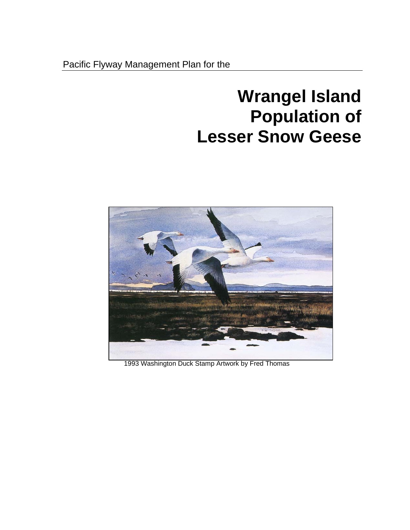# **Wrangel Island Population of Lesser Snow Geese**



1993 Washington Duck Stamp Artwork by Fred Thomas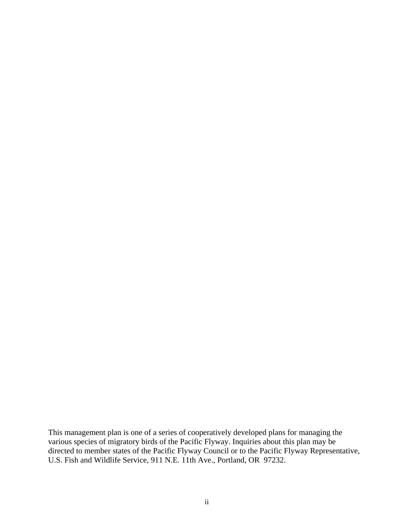This management plan is one of a series of cooperatively developed plans for managing the various species of migratory birds of the Pacific Flyway. Inquiries about this plan may be directed to member states of the Pacific Flyway Council or to the Pacific Flyway Representative, U.S. Fish and Wildlife Service, 911 N.E. 11th Ave., Portland, OR 97232.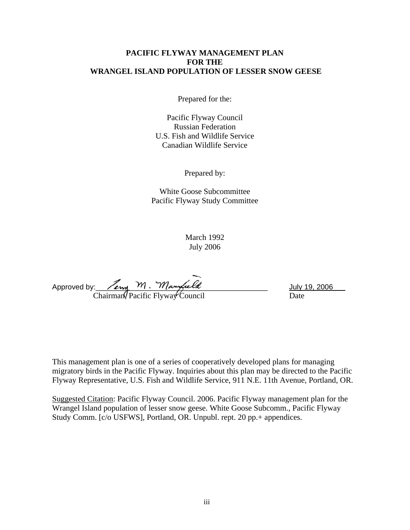## **PACIFIC FLYWAY MANAGEMENT PLAN FOR THE WRANGEL ISLAND POPULATION OF LESSER SNOW GEESE**

Prepared for the:

Pacific Flyway Council Russian Federation U.S. Fish and Wildlife Service Canadian Wildlife Service

Prepared by:

White Goose Subcommittee Pacific Flyway Study Committee

> March 1992 July 2006

Approved by:  $\sqrt{2m_1 + 1}$  .  $M$  angle to  $\sqrt{2m_1 + 1}$  and  $\sqrt{2m_1 + 1}$  and  $\sqrt{2m_1 + 1}$  and  $\sqrt{2m_1 + 1}$  and  $\sqrt{2m_1 + 1}$  and  $\sqrt{2m_1 + 1}$  and  $\sqrt{2m_1 + 1}$  and  $\sqrt{2m_1 + 1}$  and  $\sqrt{2m_1 + 1}$  and  $\sqrt{2m_1 + 1}$  and Chairman, Pacific Flyway Council Date

This management plan is one of a series of cooperatively developed plans for managing migratory birds in the Pacific Flyway. Inquiries about this plan may be directed to the Pacific Flyway Representative, U.S. Fish and Wildlife Service, 911 N.E. 11th Avenue, Portland, OR.

Suggested Citation: Pacific Flyway Council. 2006. Pacific Flyway management plan for the Wrangel Island population of lesser snow geese. White Goose Subcomm., Pacific Flyway Study Comm. [c/o USFWS], Portland, OR. Unpubl. rept. 20 pp.+ appendices.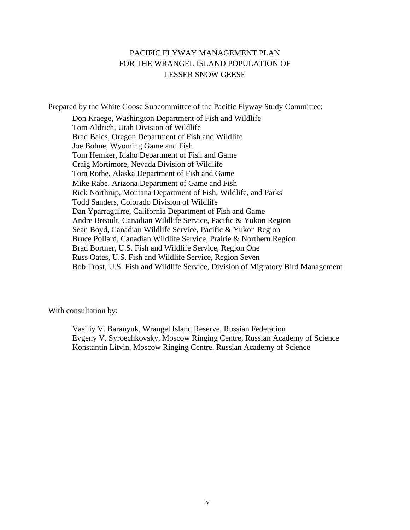# PACIFIC FLYWAY MANAGEMENT PLAN FOR THE WRANGEL ISLAND POPULATION OF LESSER SNOW GEESE

Prepared by the White Goose Subcommittee of the Pacific Flyway Study Committee:

Don Kraege, Washington Department of Fish and Wildlife Tom Aldrich, Utah Division of Wildlife Brad Bales, Oregon Department of Fish and Wildlife Joe Bohne, Wyoming Game and Fish Tom Hemker, Idaho Department of Fish and Game Craig Mortimore, Nevada Division of Wildlife Tom Rothe, Alaska Department of Fish and Game Mike Rabe, Arizona Department of Game and Fish Rick Northrup, Montana Department of Fish, Wildlife, and Parks Todd Sanders, Colorado Division of Wildlife Dan Yparraguirre, California Department of Fish and Game Andre Breault, Canadian Wildlife Service, Pacific & Yukon Region Sean Boyd, Canadian Wildlife Service, Pacific & Yukon Region Bruce Pollard, Canadian Wildlife Service, Prairie & Northern Region Brad Bortner, U.S. Fish and Wildlife Service, Region One Russ Oates, U.S. Fish and Wildlife Service, Region Seven Bob Trost, U.S. Fish and Wildlife Service, Division of Migratory Bird Management

With consultation by:

Vasiliy V. Baranyuk, Wrangel Island Reserve, Russian Federation Evgeny V. Syroechkovsky, Moscow Ringing Centre, Russian Academy of Science Konstantin Litvin, Moscow Ringing Centre, Russian Academy of Science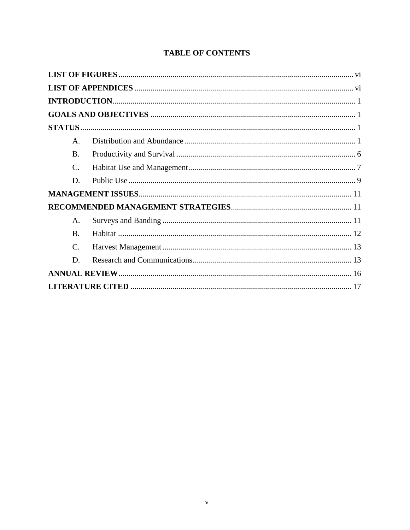|  | <b>TABLE OF CONTENTS</b> |
|--|--------------------------|
|--|--------------------------|

| $\mathsf{A}$ .  |  |
|-----------------|--|
| <b>B.</b>       |  |
| $\mathcal{C}$ . |  |
| D.              |  |
|                 |  |
|                 |  |
| A.              |  |
| $\mathbf{B}$ .  |  |
| C.              |  |
| D.              |  |
|                 |  |
|                 |  |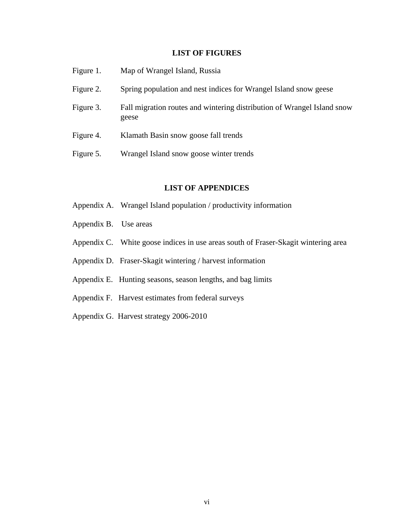## **LIST OF FIGURES**

<span id="page-5-0"></span>

| Figure 1. | Map of Wrangel Island, Russia                                                    |
|-----------|----------------------------------------------------------------------------------|
| Figure 2. | Spring population and nest indices for Wrangel Island snow geese                 |
| Figure 3. | Fall migration routes and wintering distribution of Wrangel Island snow<br>geese |
| Figure 4. | Klamath Basin snow goose fall trends                                             |
| Figure 5. | Wrangel Island snow goose winter trends                                          |
|           |                                                                                  |

## **LIST OF APPENDICES**

- Appendix A. Wrangel Island population / productivity information
- Appendix B. Use areas
- Appendix C. White goose indices in use areas south of Fraser-Skagit wintering area
- Appendix D. Fraser-Skagit wintering / harvest information
- Appendix E. Hunting seasons, season lengths, and bag limits
- Appendix F. Harvest estimates from federal surveys
- Appendix G. Harvest strategy 2006-2010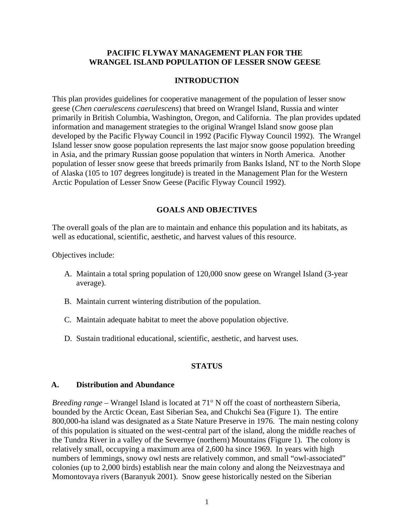## <span id="page-6-0"></span>**PACIFIC FLYWAY MANAGEMENT PLAN FOR THE WRANGEL ISLAND POPULATION OF LESSER SNOW GEESE**

## **INTRODUCTION**

This plan provides guidelines for cooperative management of the population of lesser snow geese (*Chen caerulescens caerulescens*) that breed on Wrangel Island, Russia and winter primarily in British Columbia, Washington, Oregon, and California. The plan provides updated information and management strategies to the original Wrangel Island snow goose plan developed by the Pacific Flyway Council in 1992 (Pacific Flyway Council 1992). The Wrangel Island lesser snow goose population represents the last major snow goose population breeding in Asia, and the primary Russian goose population that winters in North America. Another population of lesser snow geese that breeds primarily from Banks Island, NT to the North Slope of Alaska (105 to 107 degrees longitude) is treated in the Management Plan for the Western Arctic Population of Lesser Snow Geese (Pacific Flyway Council 1992).

## **GOALS AND OBJECTIVES**

The overall goals of the plan are to maintain and enhance this population and its habitats, as well as educational, scientific, aesthetic, and harvest values of this resource.

Objectives include:

- A. Maintain a total spring population of 120,000 snow geese on Wrangel Island (3-year average).
- B. Maintain current wintering distribution of the population.
- C. Maintain adequate habitat to meet the above population objective.
- D. Sustain traditional educational, scientific, aesthetic, and harvest uses.

## **STATUS**

#### **A. Distribution and Abundance**

*Breeding range –* Wrangel Island is located at 71° N off the coast of northeastern Siberia, bounded by the Arctic Ocean, East Siberian Sea, and Chukchi Sea (Figure 1). The entire 800,000-ha island was designated as a State Nature Preserve in 1976. The main nesting colony of this population is situated on the west-central part of the island, along the middle reaches of the Tundra River in a valley of the Severnye (northern) Mountains (Figure 1). The colony is relatively small, occupying a maximum area of 2,600 ha since 1969. In years with high numbers of lemmings, snowy owl nests are relatively common, and small "owl-associated" colonies (up to 2,000 birds) establish near the main colony and along the Neizvestnaya and Momontovaya rivers (Baranyuk 2001). Snow geese historically nested on the Siberian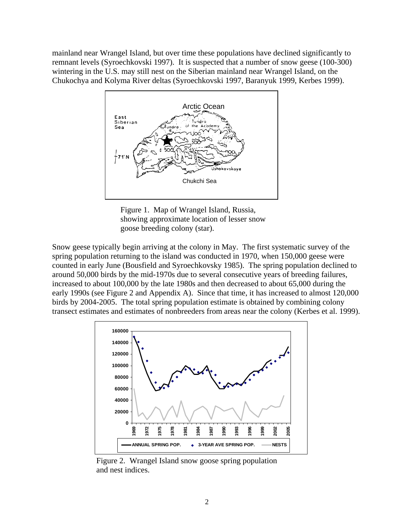mainland near Wrangel Island, but over time these populations have declined significantly to remnant levels (Syroechkovski 1997). It is suspected that a number of snow geese (100-300) wintering in the U.S. may still nest on the Siberian mainland near Wrangel Island, on the Chukochya and Kolyma River deltas (Syroechkovski 1997, Baranyuk 1999, Kerbes 1999).



Figure 1. Map of Wrangel Island, Russia, showing approximate location of lesser snow goose breeding colony (star).

Snow geese typically begin arriving at the colony in May. The first systematic survey of the spring population returning to the island was conducted in 1970, when 150,000 geese were counted in early June (Bousfield and Syroechkovsky 1985). The spring population declined to around 50,000 birds by the mid-1970s due to several consecutive years of breeding failures, increased to about 100,000 by the late 1980s and then decreased to about 65,000 during the early 1990s (see Figure 2 and Appendix A). Since that time, it has increased to almost 120,000 birds by 2004-2005. The total spring population estimate is obtained by combining colony transect estimates and estimates of nonbreeders from areas near the colony (Kerbes et al. 1999).



Figure 2. Wrangel Island snow goose spring population and nest indices.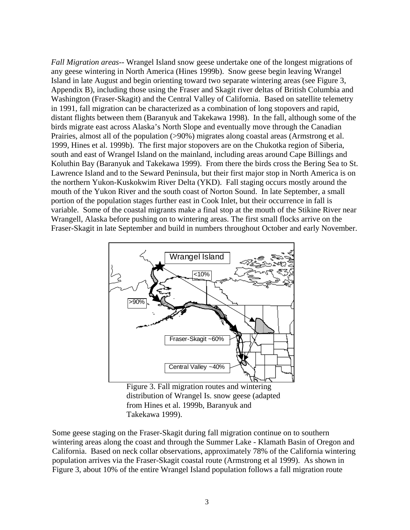*Fall Migration areas--* Wrangel Island snow geese undertake one of the longest migrations of any geese wintering in North America (Hines 1999b). Snow geese begin leaving Wrangel Island in late August and begin orienting toward two separate wintering areas (see Figure 3, Appendix B), including those using the Fraser and Skagit river deltas of British Columbia and Washington (Fraser-Skagit) and the Central Valley of California. Based on satellite telemetry in 1991, fall migration can be characterized as a combination of long stopovers and rapid, distant flights between them (Baranyuk and Takekawa 1998). In the fall, although some of the birds migrate east across Alaska's North Slope and eventually move through the Canadian Prairies, almost all of the population (>90%) migrates along coastal areas (Armstrong et al. 1999, Hines et al. 1999b). The first major stopovers are on the Chukotka region of Siberia, south and east of Wrangel Island on the mainland, including areas around Cape Billings and Koluthin Bay (Baranyuk and Takekawa 1999). From there the birds cross the Bering Sea to St. Lawrence Island and to the Seward Peninsula, but their first major stop in North America is on the northern Yukon-Kuskokwim River Delta (YKD). Fall staging occurs mostly around the mouth of the Yukon River and the south coast of Norton Sound. In late September, a small portion of the population stages further east in Cook Inlet, but their occurrence in fall is variable. Some of the coastal migrants make a final stop at the mouth of the Stikine River near Wrangell, Alaska before pushing on to wintering areas. The first small flocks arrive on the Fraser-Skagit in late September and build in numbers throughout October and early November.



Figure 3. Fall migration routes and wintering distribution of Wrangel Is. snow geese (adapted from Hines et al. 1999b, Baranyuk and Takekawa 1999).

Some geese staging on the Fraser-Skagit during fall migration continue on to southern wintering areas along the coast and through the Summer Lake - Klamath Basin of Oregon and California. Based on neck collar observations, approximately 78% of the California wintering population arrives via the Fraser-Skagit coastal route (Armstrong et al 1999). As shown in Figure 3, about 10% of the entire Wrangel Island population follows a fall migration route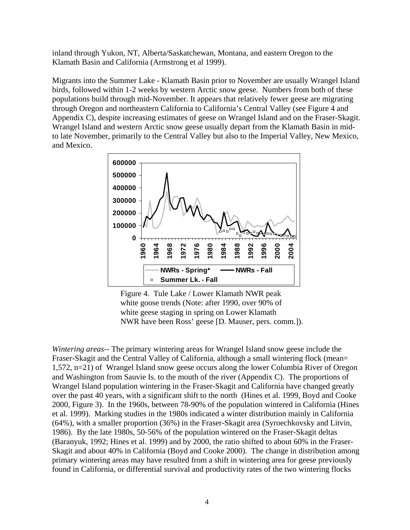inland through Yukon, NT, Alberta/Saskatchewan, Montana, and eastern Oregon to the Klamath Basin and California (Armstrong et al 1999).

Migrants into the Summer Lake - Klamath Basin prior to November are usually Wrangel Island birds, followed within 1-2 weeks by western Arctic snow geese. Numbers from both of these populations build through mid-November. It appears that relatively fewer geese are migrating through Oregon and northeastern California to California's Central Valley (see Figure 4 and Appendix C), despite increasing estimates of geese on Wrangel Island and on the Fraser-Skagit. Wrangel Island and western Arctic snow geese usually depart from the Klamath Basin in midto late November, primarily to the Central Valley but also to the Imperial Valley, New Mexico, and Mexico.



Figure 4. Tule Lake / Lower Klamath NWR peak white goose trends (Note: after 1990, over 90% of white geese staging in spring on Lower Klamath NWR have been Ross' geese [D. Mauser, pers. comm.]).

*Wintering areas--* The primary wintering areas for Wrangel Island snow geese include the Fraser-Skagit and the Central Valley of California, although a small wintering flock (mean= 1,572, n=21) of Wrangel Island snow geese occurs along the lower Columbia River of Oregon and Washington from Sauvie Is. to the mouth of the river (Appendix C). The proportions of Wrangel Island population wintering in the Fraser-Skagit and California have changed greatly over the past 40 years, with a significant shift to the north (Hines et al. 1999, Boyd and Cooke 2000, Figure 3). In the 1960s, between 78-90% of the population wintered in California (Hines et al. 1999). Marking studies in the 1980s indicated a winter distribution mainly in California (64%), with a smaller proportion (36%) in the Fraser-Skagit area (Syroechkovsky and Litvin, 1986). By the late 1980s, 50-56% of the population wintered on the Fraser-Skagit deltas (Baranyuk, 1992; Hines et al. 1999) and by 2000, the ratio shifted to about 60% in the Fraser-Skagit and about 40% in California (Boyd and Cooke 2000). The change in distribution among primary wintering areas may have resulted from a shift in wintering area for geese previously found in California, or differential survival and productivity rates of the two wintering flocks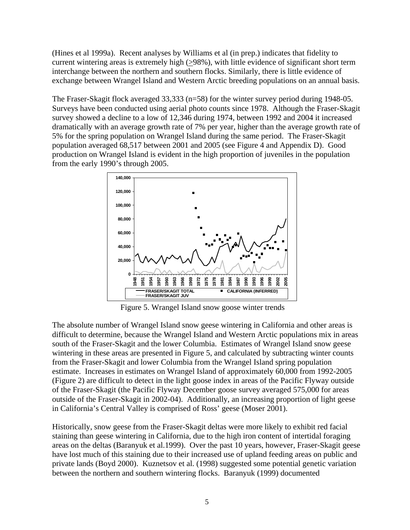(Hines et al 1999a). Recent analyses by Williams et al (in prep.) indicates that fidelity to current wintering areas is extremely high (>98%), with little evidence of significant short term interchange between the northern and southern flocks. Similarly, there is little evidence of exchange between Wrangel Island and Western Arctic breeding populations on an annual basis.

The Fraser-Skagit flock averaged 33,333 (n=58) for the winter survey period during 1948-05. Surveys have been conducted using aerial photo counts since 1978. Although the Fraser-Skagit survey showed a decline to a low of 12,346 during 1974, between 1992 and 2004 it increased dramatically with an average growth rate of 7% per year, higher than the average growth rate of 5% for the spring population on Wrangel Island during the same period. The Fraser-Skagit population averaged 68,517 between 2001 and 2005 (see Figure 4 and Appendix D). Good production on Wrangel Island is evident in the high proportion of juveniles in the population from the early 1990's through 2005.



Figure 5. Wrangel Island snow goose winter trends

The absolute number of Wrangel Island snow geese wintering in California and other areas is difficult to determine, because the Wrangel Island and Western Arctic populations mix in areas south of the Fraser-Skagit and the lower Columbia. Estimates of Wrangel Island snow geese wintering in these areas are presented in Figure 5, and calculated by subtracting winter counts from the Fraser-Skagit and lower Columbia from the Wrangel Island spring population estimate. Increases in estimates on Wrangel Island of approximately 60,000 from 1992-2005 (Figure 2) are difficult to detect in the light goose index in areas of the Pacific Flyway outside of the Fraser-Skagit (the Pacific Flyway December goose survey averaged 575,000 for areas outside of the Fraser-Skagit in 2002-04). Additionally, an increasing proportion of light geese in California's Central Valley is comprised of Ross' geese (Moser 2001).

Historically, snow geese from the Fraser-Skagit deltas were more likely to exhibit red facial staining than geese wintering in California, due to the high iron content of intertidal foraging areas on the deltas (Baranyuk et al.1999). Over the past 10 years, however, Fraser-Skagit geese have lost much of this staining due to their increased use of upland feeding areas on public and private lands (Boyd 2000). Kuznetsov et al. (1998) suggested some potential genetic variation between the northern and southern wintering flocks. Baranyuk (1999) documented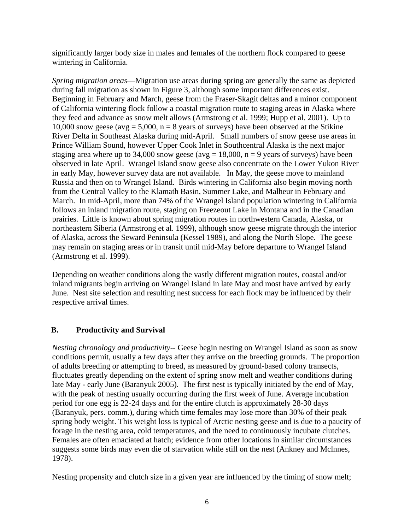<span id="page-11-0"></span>significantly larger body size in males and females of the northern flock compared to geese wintering in California.

*Spring migration areas*—Migration use areas during spring are generally the same as depicted during fall migration as shown in Figure 3, although some important differences exist. Beginning in February and March, geese from the Fraser-Skagit deltas and a minor component of California wintering flock follow a coastal migration route to staging areas in Alaska where they feed and advance as snow melt allows (Armstrong et al. 1999; Hupp et al. 2001). Up to 10,000 snow geese (avg = 5,000,  $n = 8$  years of surveys) have been observed at the Stikine River Delta in Southeast Alaska during mid-April. Small numbers of snow geese use areas in Prince William Sound, however Upper Cook Inlet in Southcentral Alaska is the next major staging area where up to 34,000 snow geese (avg = 18,000,  $n = 9$  years of surveys) have been observed in late April. Wrangel Island snow geese also concentrate on the Lower Yukon River in early May, however survey data are not available. In May, the geese move to mainland Russia and then on to Wrangel Island. Birds wintering in California also begin moving north from the Central Valley to the Klamath Basin, Summer Lake, and Malheur in February and March. In mid-April, more than 74% of the Wrangel Island population wintering in California follows an inland migration route, staging on Freezeout Lake in Montana and in the Canadian prairies. Little is known about spring migration routes in northwestern Canada, Alaska, or northeastern Siberia (Armstrong et al. 1999), although snow geese migrate through the interior of Alaska, across the Seward Peninsula (Kessel 1989), and along the North Slope. The geese may remain on staging areas or in transit until mid-May before departure to Wrangel Island (Armstrong et al. 1999).

Depending on weather conditions along the vastly different migration routes, coastal and/or inland migrants begin arriving on Wrangel Island in late May and most have arrived by early June. Nest site selection and resulting nest success for each flock may be influenced by their respective arrival times.

## **B. Productivity and Survival**

*Nesting chronology and productivity--* Geese begin nesting on Wrangel Island as soon as snow conditions permit, usually a few days after they arrive on the breeding grounds. The proportion of adults breeding or attempting to breed, as measured by ground-based colony transects, fluctuates greatly depending on the extent of spring snow melt and weather conditions during late May - early June (Baranyuk 2005). The first nest is typically initiated by the end of May, with the peak of nesting usually occurring during the first week of June. Average incubation period for one egg is 22-24 days and for the entire clutch is approximately 28-30 days (Baranyuk, pers. comm.), during which time females may lose more than 30% of their peak spring body weight. This weight loss is typical of Arctic nesting geese and is due to a paucity of forage in the nesting area, cold temperatures, and the need to continuously incubate clutches. Females are often emaciated at hatch; evidence from other locations in similar circumstances suggests some birds may even die of starvation while still on the nest (Ankney and Mclnnes, 1978).

Nesting propensity and clutch size in a given year are influenced by the timing of snow melt;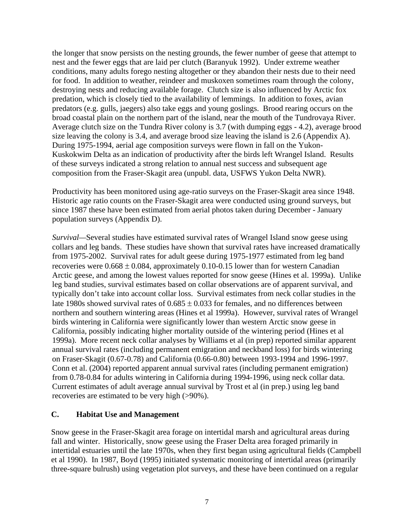<span id="page-12-0"></span>the longer that snow persists on the nesting grounds, the fewer number of geese that attempt to nest and the fewer eggs that are laid per clutch (Baranyuk 1992). Under extreme weather conditions, many adults forego nesting altogether or they abandon their nests due to their need for food. In addition to weather, reindeer and muskoxen sometimes roam through the colony, destroying nests and reducing available forage. Clutch size is also influenced by Arctic fox predation, which is closely tied to the availability of lemmings. In addition to foxes, avian predators (e.g. gulls, jaegers) also take eggs and young goslings. Brood rearing occurs on the broad coastal plain on the northern part of the island, near the mouth of the Tundrovaya River. Average clutch size on the Tundra River colony is 3.7 (with dumping eggs - 4.2), average brood size leaving the colony is 3.4, and average brood size leaving the island is 2.6 (Appendix A). During 1975-1994, aerial age composition surveys were flown in fall on the Yukon-Kuskokwim Delta as an indication of productivity after the birds left Wrangel Island. Results of these surveys indicated a strong relation to annual nest success and subsequent age composition from the Fraser-Skagit area (unpubl. data, USFWS Yukon Delta NWR).

Productivity has been monitored using age-ratio surveys on the Fraser-Skagit area since 1948. Historic age ratio counts on the Fraser-Skagit area were conducted using ground surveys, but since 1987 these have been estimated from aerial photos taken during December - January population surveys (Appendix D).

*Survival—*Several studies have estimated survival rates of Wrangel Island snow geese using collars and leg bands. These studies have shown that survival rates have increased dramatically from 1975-2002. Survival rates for adult geese during 1975-1977 estimated from leg band recoveries were  $0.668 \pm 0.084$ , approximately 0.10-0.15 lower than for western Canadian Arctic geese, and among the lowest values reported for snow geese (Hines et al. 1999a). Unlike leg band studies, survival estimates based on collar observations are of apparent survival, and typically don't take into account collar loss. Survival estimates from neck collar studies in the late 1980s showed survival rates of  $0.685 \pm 0.033$  for females, and no differences between northern and southern wintering areas (Hines et al 1999a). However, survival rates of Wrangel birds wintering in California were significantly lower than western Arctic snow geese in California, possibly indicating higher mortality outside of the wintering period (Hines et al 1999a). More recent neck collar analyses by Williams et al (in prep) reported similar apparent annual survival rates (including permanent emigration and neckband loss) for birds wintering on Fraser-Skagit (0.67-0.78) and California (0.66-0.80) between 1993-1994 and 1996-1997. Conn et al. (2004) reported apparent annual survival rates (including permanent emigration) from 0.78-0.84 for adults wintering in California during 1994-1996, using neck collar data. Current estimates of adult average annual survival by Trost et al (in prep.) using leg band recoveries are estimated to be very high (>90%).

## **C. Habitat Use and Management**

Snow geese in the Fraser-Skagit area forage on intertidal marsh and agricultural areas during fall and winter. Historically, snow geese using the Fraser Delta area foraged primarily in intertidal estuaries until the late 1970s, when they first began using agricultural fields (Campbell et al 1990). In 1987, Boyd (1995) initiated systematic monitoring of intertidal areas (primarily three-square bulrush) using vegetation plot surveys, and these have been continued on a regular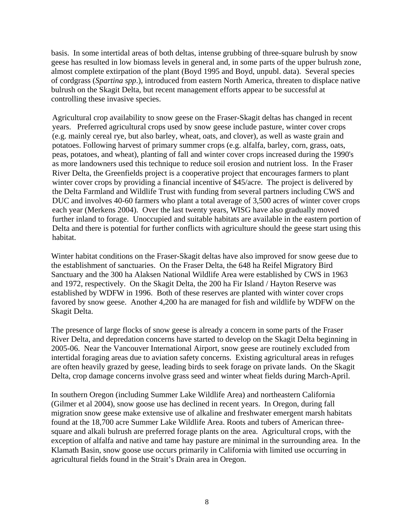basis. In some intertidal areas of both deltas, intense grubbing of three-square bulrush by snow geese has resulted in low biomass levels in general and, in some parts of the upper bulrush zone, almost complete extirpation of the plant (Boyd 1995 and Boyd, unpubl. data). Several species of cordgrass (*Spartina spp*.), introduced from eastern North America, threaten to displace native bulrush on the Skagit Delta, but recent management efforts appear to be successful at controlling these invasive species.

Agricultural crop availability to snow geese on the Fraser-Skagit deltas has changed in recent years. Preferred agricultural crops used by snow geese include pasture, winter cover crops (e.g. mainly cereal rye, but also barley, wheat, oats, and clover), as well as waste grain and potatoes. Following harvest of primary summer crops (e.g. alfalfa, barley, corn, grass, oats, peas, potatoes, and wheat), planting of fall and winter cover crops increased during the 1990's as more landowners used this technique to reduce soil erosion and nutrient loss. In the Fraser River Delta, the Greenfields project is a cooperative project that encourages farmers to plant winter cover crops by providing a financial incentive of \$45/acre. The project is delivered by the Delta Farmland and Wildlife Trust with funding from several partners including CWS and DUC and involves 40-60 farmers who plant a total average of 3,500 acres of winter cover crops each year (Merkens 2004). Over the last twenty years, WISG have also gradually moved further inland to forage. Unoccupied and suitable habitats are available in the eastern portion of Delta and there is potential for further conflicts with agriculture should the geese start using this habitat.

Winter habitat conditions on the Fraser-Skagit deltas have also improved for snow geese due to the establishment of sanctuaries. On the Fraser Delta, the 648 ha Reifel Migratory Bird Sanctuary and the 300 ha Alaksen National Wildlife Area were established by CWS in 1963 and 1972, respectively. On the Skagit Delta, the 200 ha Fir Island / Hayton Reserve was established by WDFW in 1996. Both of these reserves are planted with winter cover crops favored by snow geese. Another 4,200 ha are managed for fish and wildlife by WDFW on the Skagit Delta.

The presence of large flocks of snow geese is already a concern in some parts of the Fraser River Delta, and depredation concerns have started to develop on the Skagit Delta beginning in 2005-06. Near the Vancouver International Airport, snow geese are routinely excluded from intertidal foraging areas due to aviation safety concerns. Existing agricultural areas in refuges are often heavily grazed by geese, leading birds to seek forage on private lands. On the Skagit Delta, crop damage concerns involve grass seed and winter wheat fields during March-April.

In southern Oregon (including Summer Lake Wildlife Area) and northeastern California (Gilmer et al 2004), snow goose use has declined in recent years. In Oregon, during fall migration snow geese make extensive use of alkaline and freshwater emergent marsh habitats found at the 18,700 acre Summer Lake Wildlife Area. Roots and tubers of American threesquare and alkali bulrush are preferred forage plants on the area. Agricultural crops, with the exception of alfalfa and native and tame hay pasture are minimal in the surrounding area. In the Klamath Basin, snow goose use occurs primarily in California with limited use occurring in agricultural fields found in the Strait's Drain area in Oregon.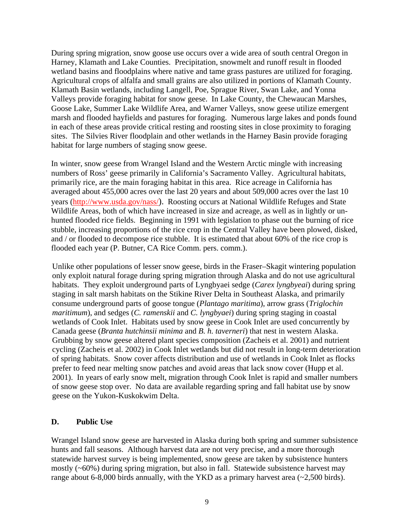<span id="page-14-0"></span>During spring migration, snow goose use occurs over a wide area of south central Oregon in Harney, Klamath and Lake Counties. Precipitation, snowmelt and runoff result in flooded wetland basins and floodplains where native and tame grass pastures are utilized for foraging. Agricultural crops of alfalfa and small grains are also utilized in portions of Klamath County. Klamath Basin wetlands, including Langell, Poe, Sprague River, Swan Lake, and Yonna Valleys provide foraging habitat for snow geese. In Lake County, the Chewaucan Marshes, Goose Lake, Summer Lake Wildlife Area, and Warner Valleys, snow geese utilize emergent marsh and flooded hayfields and pastures for foraging. Numerous large lakes and ponds found in each of these areas provide critical resting and roosting sites in close proximity to foraging sites. The Silvies River floodplain and other wetlands in the Harney Basin provide foraging habitat for large numbers of staging snow geese.

In winter, snow geese from Wrangel Island and the Western Arctic mingle with increasing numbers of Ross' geese primarily in California's Sacramento Valley. Agricultural habitats, primarily rice, are the main foraging habitat in this area. Rice acreage in California has averaged about 455,000 acres over the last 20 years and about 509,000 acres over the last 10 years (http://www.usda.gov/nass/). Roosting occurs at National Wildlife Refuges and State Wildlife Areas, both of which have increased in size and acreage, as well as in lightly or unhunted flooded rice fields. Beginning in 1991 with legislation to phase out the burning of rice stubble, increasing proportions of the rice crop in the Central Valley have been plowed, disked, and / or flooded to decompose rice stubble. It is estimated that about 60% of the rice crop is flooded each year (P. Butner, CA Rice Comm. pers. comm.).

Unlike other populations of lesser snow geese, birds in the Fraser–Skagit wintering population only exploit natural forage during spring migration through Alaska and do not use agricultural habitats. They exploit underground parts of Lyngbyaei sedge (*Carex lyngbyeai*) during spring staging in salt marsh habitats on the Stikine River Delta in Southeast Alaska, and primarily consume underground parts of goose tongue (*Plantago maritima*), arrow grass (*Triglochin maritimum*), and sedges (*C. ramenskii* and *C. lyngbyaei*) during spring staging in coastal wetlands of Cook Inlet. Habitats used by snow geese in Cook Inlet are used concurrently by Canada geese (*Branta hutchinsii minima* and *B. h. taverneri*) that nest in western Alaska. Grubbing by snow geese altered plant species composition (Zacheis et al. 2001) and nutrient cycling (Zacheis et al. 2002) in Cook Inlet wetlands but did not result in long-term deterioration of spring habitats. Snow cover affects distribution and use of wetlands in Cook Inlet as flocks prefer to feed near melting snow patches and avoid areas that lack snow cover (Hupp et al. 2001). In years of early snow melt, migration through Cook Inlet is rapid and smaller numbers of snow geese stop over. No data are available regarding spring and fall habitat use by snow geese on the Yukon-Kuskokwim Delta.

## **D. Public Use**

Wrangel Island snow geese are harvested in Alaska during both spring and summer subsistence hunts and fall seasons. Although harvest data are not very precise, and a more thorough statewide harvest survey is being implemented, snow geese are taken by subsistence hunters mostly (~60%) during spring migration, but also in fall. Statewide subsistence harvest may range about 6-8,000 birds annually, with the YKD as a primary harvest area  $(-2,500$  birds).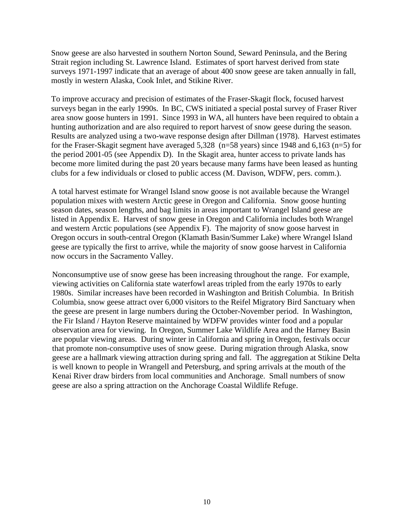Snow geese are also harvested in southern Norton Sound, Seward Peninsula, and the Bering Strait region including St. Lawrence Island. Estimates of sport harvest derived from state surveys 1971-1997 indicate that an average of about 400 snow geese are taken annually in fall, mostly in western Alaska, Cook Inlet, and Stikine River.

To improve accuracy and precision of estimates of the Fraser-Skagit flock, focused harvest surveys began in the early 1990s. In BC, CWS initiated a special postal survey of Fraser River area snow goose hunters in 1991. Since 1993 in WA, all hunters have been required to obtain a hunting authorization and are also required to report harvest of snow geese during the season. Results are analyzed using a two-wave response design after Dillman (1978). Harvest estimates for the Fraser-Skagit segment have averaged 5,328 (n=58 years) since 1948 and 6,163 (n=5) for the period 2001-05 (see Appendix D). In the Skagit area, hunter access to private lands has become more limited during the past 20 years because many farms have been leased as hunting clubs for a few individuals or closed to public access (M. Davison, WDFW, pers. comm.).

A total harvest estimate for Wrangel Island snow goose is not available because the Wrangel population mixes with western Arctic geese in Oregon and California. Snow goose hunting season dates, season lengths, and bag limits in areas important to Wrangel Island geese are listed in Appendix E. Harvest of snow geese in Oregon and California includes both Wrangel and western Arctic populations (see Appendix F). The majority of snow goose harvest in Oregon occurs in south-central Oregon (Klamath Basin/Summer Lake) where Wrangel Island geese are typically the first to arrive, while the majority of snow goose harvest in California now occurs in the Sacramento Valley.

Nonconsumptive use of snow geese has been increasing throughout the range. For example, viewing activities on California state waterfowl areas tripled from the early 1970s to early 1980s. Similar increases have been recorded in Washington and British Columbia. In British Columbia, snow geese attract over 6,000 visitors to the Reifel Migratory Bird Sanctuary when the geese are present in large numbers during the October-November period. In Washington, the Fir Island / Hayton Reserve maintained by WDFW provides winter food and a popular observation area for viewing. In Oregon, Summer Lake Wildlife Area and the Harney Basin are popular viewing areas. During winter in California and spring in Oregon, festivals occur that promote non-consumptive uses of snow geese. During migration through Alaska, snow geese are a hallmark viewing attraction during spring and fall. The aggregation at Stikine Delta is well known to people in Wrangell and Petersburg, and spring arrivals at the mouth of the Kenai River draw birders from local communities and Anchorage. Small numbers of snow geese are also a spring attraction on the Anchorage Coastal Wildlife Refuge.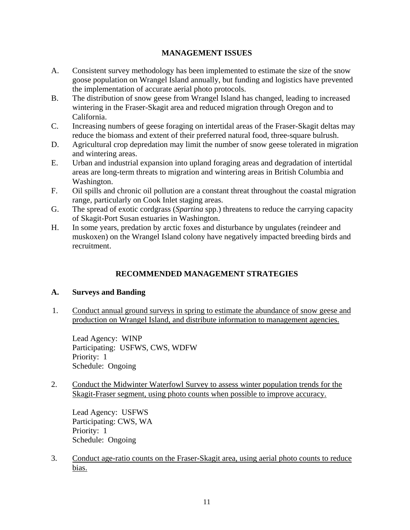## **MANAGEMENT ISSUES**

- <span id="page-16-0"></span>A. Consistent survey methodology has been implemented to estimate the size of the snow goose population on Wrangel Island annually, but funding and logistics have prevented the implementation of accurate aerial photo protocols.
- B. The distribution of snow geese from Wrangel Island has changed, leading to increased wintering in the Fraser-Skagit area and reduced migration through Oregon and to California.
- C. Increasing numbers of geese foraging on intertidal areas of the Fraser-Skagit deltas may reduce the biomass and extent of their preferred natural food, three-square bulrush.
- D. Agricultural crop depredation may limit the number of snow geese tolerated in migration and wintering areas.
- E. Urban and industrial expansion into upland foraging areas and degradation of intertidal areas are long-term threats to migration and wintering areas in British Columbia and Washington.
- F. Oil spills and chronic oil pollution are a constant threat throughout the coastal migration range, particularly on Cook Inlet staging areas.
- G. The spread of exotic cordgrass (*Spartina* spp.) threatens to reduce the carrying capacity of Skagit-Port Susan estuaries in Washington.
- H. In some years, predation by arctic foxes and disturbance by ungulates (reindeer and muskoxen) on the Wrangel Island colony have negatively impacted breeding birds and recruitment.

## **RECOMMENDED MANAGEMENT STRATEGIES**

## **A. Surveys and Banding**

1. Conduct annual ground surveys in spring to estimate the abundance of snow geese and production on Wrangel Island, and distribute information to management agencies.

Lead Agency: WINP Participating: USFWS, CWS, WDFW Priority: 1 Schedule: Ongoing

2. Conduct the Midwinter Waterfowl Survey to assess winter population trends for the Skagit-Fraser segment, using photo counts when possible to improve accuracy.

Lead Agency: USFWS Participating: CWS, WA Priority: 1 Schedule: Ongoing

3. Conduct age-ratio counts on the Fraser-Skagit area, using aerial photo counts to reduce bias.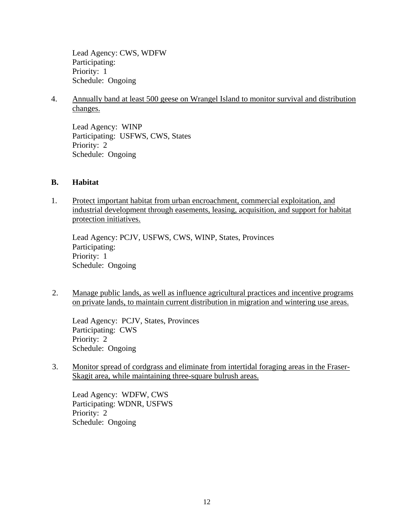<span id="page-17-0"></span>Lead Agency: CWS, WDFW Participating: Priority: 1 Schedule: Ongoing

4. Annually band at least 500 geese on Wrangel Island to monitor survival and distribution changes.

Lead Agency: WINP Participating: USFWS, CWS, States Priority: 2 Schedule: Ongoing

## **B. Habitat**

1. Protect important habitat from urban encroachment, commercial exploitation, and industrial development through easements, leasing, acquisition, and support for habitat protection initiatives.

Lead Agency: PCJV, USFWS, CWS, WINP, States, Provinces Participating: Priority: 1 Schedule: Ongoing

2. Manage public lands, as well as influence agricultural practices and incentive programs on private lands, to maintain current distribution in migration and wintering use areas.

Lead Agency: PCJV, States, Provinces Participating: CWS Priority: 2 Schedule: Ongoing

3. Monitor spread of cordgrass and eliminate from intertidal foraging areas in the Fraser-Skagit area, while maintaining three-square bulrush areas.

Lead Agency: WDFW, CWS Participating: WDNR, USFWS Priority: 2 Schedule: Ongoing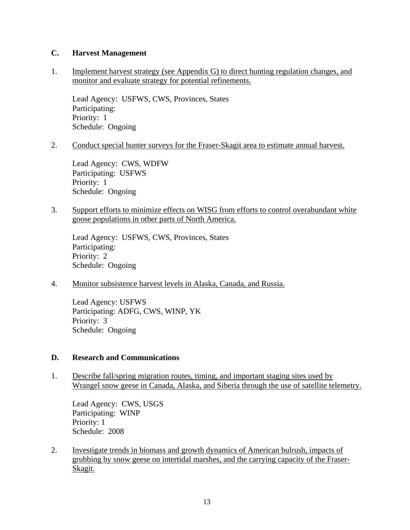## <span id="page-18-0"></span>**C. Harvest Management**

1. Implement harvest strategy (see Appendix G) to direct hunting regulation changes, and monitor and evaluate strategy for potential refinements.

Lead Agency: USFWS, CWS, Provinces, States Participating: Priority: 1 Schedule: Ongoing

2. Conduct special hunter surveys for the Fraser-Skagit area to estimate annual harvest.

Lead Agency: CWS, WDFW Participating: USFWS Priority: 1 Schedule: Ongoing

3. Support efforts to minimize effects on WISG from efforts to control overabundant white goose populations in other parts of North America.

Lead Agency: USFWS, CWS, Provinces, States Participating: Priority: 2 Schedule: Ongoing

4. Monitor subsistence harvest levels in Alaska, Canada, and Russia.

Lead Agency: USFWS Participating: ADFG, CWS, WINP, YK Priority: 3 Schedule: Ongoing

## **D. Research and Communications**

1. Describe fall/spring migration routes, timing, and important staging sites used by Wrangel snow geese in Canada, Alaska, and Siberia through the use of satellite telemetry.

Lead Agency: CWS, USGS Participating: WINP Priority: 1 Schedule: 2008

2. Investigate trends in biomass and growth dynamics of American bulrush, impacts of grubbing by snow geese on intertidal marshes, and the carrying capacity of the Fraser-Skagit.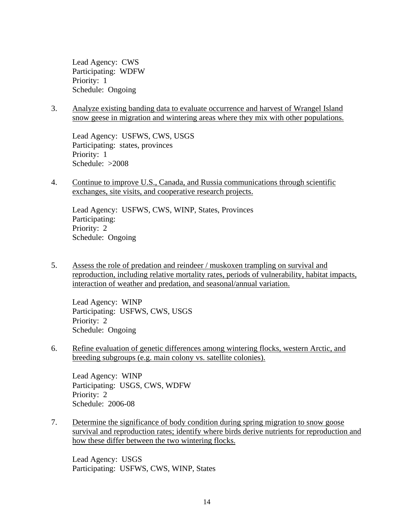Lead Agency: CWS Participating: WDFW Priority: 1 Schedule: Ongoing

3. Analyze existing banding data to evaluate occurrence and harvest of Wrangel Island snow geese in migration and wintering areas where they mix with other populations.

Lead Agency: USFWS, CWS, USGS Participating: states, provinces Priority: 1 Schedule: >2008

4. Continue to improve U.S., Canada, and Russia communications through scientific exchanges, site visits, and cooperative research projects.

Lead Agency: USFWS, CWS, WINP, States, Provinces Participating: Priority: 2 Schedule: Ongoing

5. Assess the role of predation and reindeer / muskoxen trampling on survival and reproduction, including relative mortality rates, periods of vulnerability, habitat impacts, interaction of weather and predation, and seasonal/annual variation.

Lead Agency: WINP Participating: USFWS, CWS, USGS Priority: 2 Schedule: Ongoing

6. Refine evaluation of genetic differences among wintering flocks, western Arctic, and breeding subgroups (e.g. main colony vs. satellite colonies).

Lead Agency: WINP Participating: USGS, CWS, WDFW Priority: 2 Schedule: 2006-08

7. Determine the significance of body condition during spring migration to snow goose survival and reproduction rates; identify where birds derive nutrients for reproduction and how these differ between the two wintering flocks.

Lead Agency: USGS Participating: USFWS, CWS, WINP, States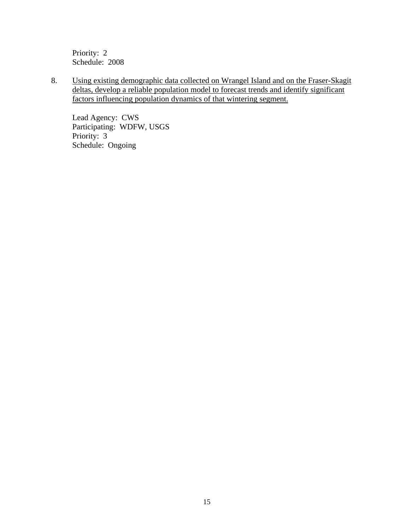Priority: 2 Schedule: 2008

8. Using existing demographic data collected on Wrangel Island and on the Fraser-Skagit deltas, develop a reliable population model to forecast trends and identify significant factors influencing population dynamics of that wintering segment.

Lead Agency: CWS Participating: WDFW, USGS Priority: 3 Schedule: Ongoing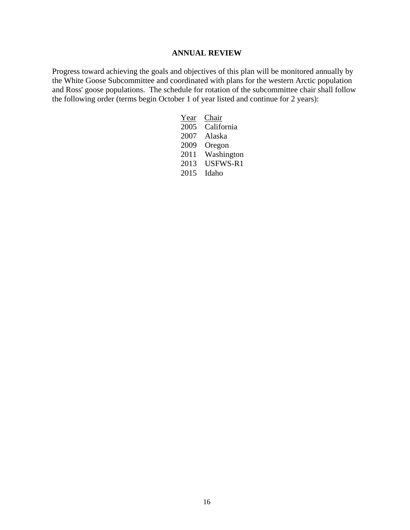## **ANNUAL REVIEW**

<span id="page-21-0"></span>Progress toward achieving the goals and objectives of this plan will be monitored annually by the White Goose Subcommittee and coordinated with plans for the western Arctic population and Ross' goose populations. The schedule for rotation of the subcommittee chair shall follow the following order (terms begin October 1 of year listed and continue for 2 years):

| Year | Chair      |
|------|------------|
| 2005 | California |
| 2007 | Alaska     |
| 2009 | Oregon     |
| 2011 | Washington |
| 2013 | USFWS-R1   |
| 2015 | Idaho      |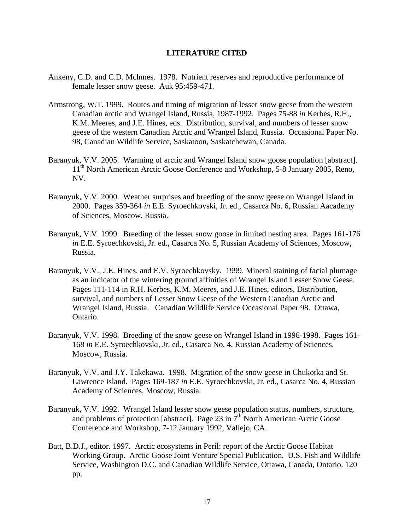#### **LITERATURE CITED**

- <span id="page-22-0"></span>Ankeny, C.D. and C.D. Mclnnes. 1978. Nutrient reserves and reproductive performance of female lesser snow geese. Auk 95:459-471.
- Armstrong, W.T. 1999. Routes and timing of migration of lesser snow geese from the western Canadian arctic and Wrangel Island, Russia, 1987-1992. Pages 75-88 *in* Kerbes, R.H., K.M. Meeres, and J.E. Hines, eds. Distribution, survival, and numbers of lesser snow geese of the western Canadian Arctic and Wrangel Island, Russia. Occasional Paper No. 98, Canadian Wildlife Service, Saskatoon, Saskatchewan, Canada.
- Baranyuk, V.V. 2005. Warming of arctic and Wrangel Island snow goose population [abstract]. 11<sup>th</sup> North American Arctic Goose Conference and Workshop, 5-8 January 2005, Reno, NV.
- Baranyuk, V.V. 2000. Weather surprises and breeding of the snow geese on Wrangel Island in 2000. Pages 359-364 *in* E.E. Syroechkovski, Jr. ed., Casarca No. 6, Russian Aacademy of Sciences, Moscow, Russia.
- Baranyuk, V.V. 1999. Breeding of the lesser snow goose in limited nesting area. Pages 161-176 *in* E.E. Syroechkovski, Jr. ed., Casarca No. 5, Russian Academy of Sciences, Moscow, Russia.
- Baranyuk, V.V., J.E. Hines, and E.V. Syroechkovsky. 1999. Mineral staining of facial plumage as an indicator of the wintering ground affinities of Wrangel Island Lesser Snow Geese. Pages 111-114 in R.H. Kerbes, K.M. Meeres, and J.E. Hines, editors, Distribution, survival, and numbers of Lesser Snow Geese of the Western Canadian Arctic and Wrangel Island, Russia. Canadian Wildlife Service Occasional Paper 98. Ottawa, Ontario.
- Baranyuk, V.V. 1998. Breeding of the snow geese on Wrangel Island in 1996-1998. Pages 161- 168 *in* E.E. Syroechkovski, Jr. ed., Casarca No. 4, Russian Academy of Sciences, Moscow, Russia.
- Baranyuk, V.V. and J.Y. Takekawa. 1998. Migration of the snow geese in Chukotka and St. Lawrence Island. Pages 169-187 *in* E.E. Syroechkovski, Jr. ed., Casarca No. 4, Russian Academy of Sciences, Moscow, Russia.
- Baranyuk, V.V. 1992. Wrangel Island lesser snow geese population status, numbers, structure, and problems of protection [abstract]. Page 23 in  $7<sup>th</sup>$  North American Arctic Goose Conference and Workshop, 7-12 January 1992, Vallejo, CA.
- Batt, B.D.J., editor. 1997. Arctic ecosystems in Peril: report of the Arctic Goose Habitat Working Group. Arctic Goose Joint Venture Special Publication. U.S. Fish and Wildlife Service, Washington D.C. and Canadian Wildlife Service, Ottawa, Canada, Ontario. 120 pp.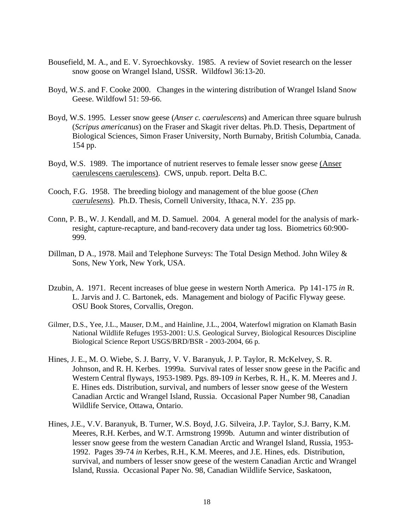- Bousefield, M. A., and E. V. Syroechkovsky. 1985. A review of Soviet research on the lesser snow goose on Wrangel Island, USSR. Wildfowl 36:13-20.
- Boyd, W.S. and F. Cooke 2000. Changes in the wintering distribution of Wrangel Island Snow Geese. Wildfowl 51: 59-66.
- Boyd, W.S. 1995. Lesser snow geese (*Anser c. caerulescens*) and American three square bulrush (*Scripus americanus*) on the Fraser and Skagit river deltas. Ph.D. Thesis, Department of Biological Sciences, Simon Fraser University, North Burnaby, British Columbia, Canada. 154 pp.
- Boyd, W.S. 1989. The importance of nutrient reserves to female lesser snow geese (Anser caerulescens caerulescens). CWS, unpub. report. Delta B.C.
- Cooch, F.G. 1958. The breeding biology and management of the blue goose (*Chen caerulesens*). Ph.D. Thesis, Cornell University, Ithaca, N.Y. 235 pp.
- Conn, P. B., W. J. Kendall, and M. D. Samuel. 2004. A general model for the analysis of markresight, capture-recapture, and band-recovery data under tag loss. Biometrics 60:900- 999.
- Dillman, D A., 1978. Mail and Telephone Surveys: The Total Design Method. John Wiley & Sons, New York, New York, USA.
- Dzubin, A. 1971. Recent increases of blue geese in western North America. Pp 141-175 *in* R. L. Jarvis and J. C. Bartonek, eds. Management and biology of Pacific Flyway geese. OSU Book Stores, Corvallis, Oregon.
- Gilmer, D.S., Yee, J.L., Mauser, D.M., and Hainline, J.L., 2004, Waterfowl migration on Klamath Basin National Wildlife Refuges 1953-2001: U.S. Geological Survey, Biological Resources Discipline Biological Science Report USGS/BRD/BSR - 2003-2004, 66 p.
- Hines, J. E., M. O. Wiebe, S. J. Barry, V. V. Baranyuk, J. P. Taylor, R. McKelvey, S. R. Johnson, and R. H. Kerbes. 1999a. Survival rates of lesser snow geese in the Pacific and Western Central flyways, 1953-1989. Pgs. 89-109 *in* Kerbes, R. H., K. M. Meeres and J. E. Hines eds. Distribution, survival, and numbers of lesser snow geese of the Western Canadian Arctic and Wrangel Island, Russia. Occasional Paper Number 98, Canadian Wildlife Service, Ottawa, Ontario.
- Hines, J.E., V.V. Baranyuk, B. Turner, W.S. Boyd, J.G. Silveira, J.P. Taylor, S.J. Barry, K.M. Meeres, R.H. Kerbes, and W.T. Armstrong 1999b. Autumn and winter distribution of lesser snow geese from the western Canadian Arctic and Wrangel Island, Russia, 1953- 1992. Pages 39-74 *in* Kerbes, R.H., K.M. Meeres, and J.E. Hines, eds. Distribution, survival, and numbers of lesser snow geese of the western Canadian Arctic and Wrangel Island, Russia. Occasional Paper No. 98, Canadian Wildlife Service, Saskatoon,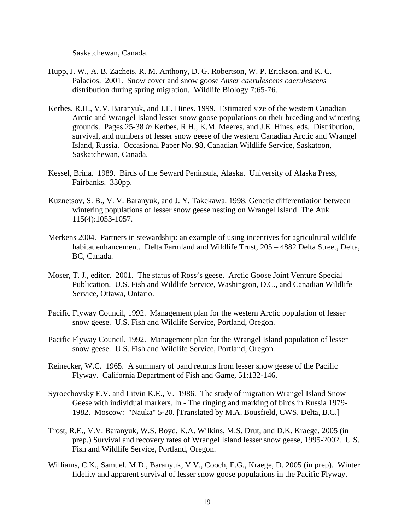Saskatchewan, Canada.

- Hupp, J. W., A. B. Zacheis, R. M. Anthony, D. G. Robertson, W. P. Erickson, and K. C. Palacios. 2001. Snow cover and snow goose *Anser caerulescens caerulescens* distribution during spring migration. Wildlife Biology 7:65-76.
- Kerbes, R.H., V.V. Baranyuk, and J.E. Hines. 1999. Estimated size of the western Canadian Arctic and Wrangel Island lesser snow goose populations on their breeding and wintering grounds. Pages 25-38 *in* Kerbes, R.H., K.M. Meeres, and J.E. Hines, eds. Distribution, survival, and numbers of lesser snow geese of the western Canadian Arctic and Wrangel Island, Russia. Occasional Paper No. 98, Canadian Wildlife Service, Saskatoon, Saskatchewan, Canada.
- Kessel, Brina. 1989. Birds of the Seward Peninsula, Alaska. University of Alaska Press, Fairbanks. 330pp.
- Kuznetsov, S. B., V. V. Baranyuk, and J. Y. Takekawa. 1998. Genetic differentiation between wintering populations of lesser snow geese nesting on Wrangel Island. The Auk 115(4):1053-1057.
- Merkens 2004. Partners in stewardship: an example of using incentives for agricultural wildlife habitat enhancement. Delta Farmland and Wildlife Trust, 205 – 4882 Delta Street, Delta, BC, Canada.
- Moser, T. J., editor. 2001. The status of Ross's geese. Arctic Goose Joint Venture Special Publication. U.S. Fish and Wildlife Service, Washington, D.C., and Canadian Wildlife Service, Ottawa, Ontario.
- Pacific Flyway Council, 1992. Management plan for the western Arctic population of lesser snow geese. U.S. Fish and Wildlife Service, Portland, Oregon.
- Pacific Flyway Council, 1992. Management plan for the Wrangel Island population of lesser snow geese. U.S. Fish and Wildlife Service, Portland, Oregon.
- Reinecker, W.C. 1965. A summary of band returns from lesser snow geese of the Pacific Flyway. California Department of Fish and Game, 51:132-146.
- Syroechovsky E.V. and Litvin K.E., V. 1986. The study of migration Wrangel Island Snow Geese with individual markers. In - The ringing and marking of birds in Russia 1979- 1982. Moscow: "Nauka" 5-20. [Translated by M.A. Bousfield, CWS, Delta, B.C.]
- Trost, R.E., V.V. Baranyuk, W.S. Boyd, K.A. Wilkins, M.S. Drut, and D.K. Kraege. 2005 (in prep.) Survival and recovery rates of Wrangel Island lesser snow geese, 1995-2002. U.S. Fish and Wildlife Service, Portland, Oregon.
- Williams, C.K., Samuel. M.D., Baranyuk, V.V., Cooch, E.G., Kraege, D. 2005 (in prep). Winter fidelity and apparent survival of lesser snow goose populations in the Pacific Flyway.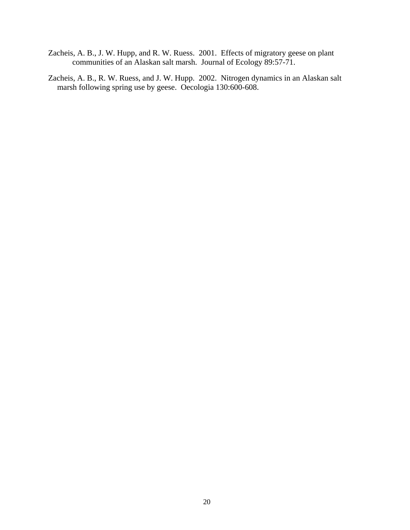- Zacheis, A. B., J. W. Hupp, and R. W. Ruess. 2001. Effects of migratory geese on plant communities of an Alaskan salt marsh. Journal of Ecology 89:57-71.
- Zacheis, A. B., R. W. Ruess, and J. W. Hupp. 2002. Nitrogen dynamics in an Alaskan salt marsh following spring use by geese. Oecologia 130:600-608.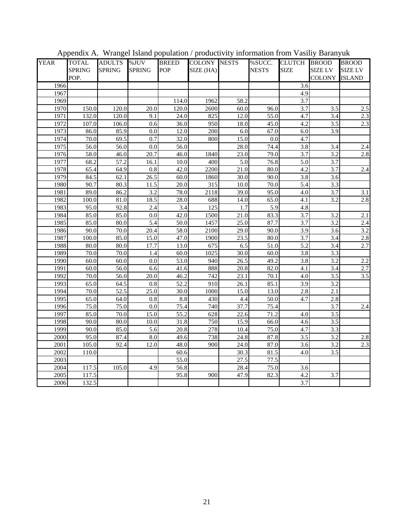| <b>YEAR</b>      | <b>TOTAL</b>  | <b>ADULTS</b>     | %JUV              | <b>BREED</b>      | <b>COLONY NESTS</b> |      | %SUCC.       | CLUTCH BROOD     |                  | <b>BROOD</b>     |  |
|------------------|---------------|-------------------|-------------------|-------------------|---------------------|------|--------------|------------------|------------------|------------------|--|
|                  | <b>SPRING</b> | <b>SPRING</b>     | <b>SPRING</b>     | POP               | SIZE (HA)           |      | <b>NESTS</b> | <b>SIZE</b>      | <b>SIZE LV</b>   | <b>SIZE LV</b>   |  |
|                  | POP.          |                   |                   |                   |                     |      |              |                  | <b>COLONY</b>    | <b>ISLAND</b>    |  |
| 1966             |               |                   |                   |                   |                     |      |              | 3.6              |                  |                  |  |
| 1967             |               |                   |                   |                   |                     |      |              | 4.9              |                  |                  |  |
| 1969             |               |                   |                   | 114.0             | 1962                | 58.2 |              | 3.7              |                  |                  |  |
| 1970             | 150.0         | 120.0             | 20.0              | 120.0             | 2600                | 60.0 | 96.0         | 3.7              | $\overline{3.5}$ | 2.5              |  |
| 1971             | 132.0         | 120.0             | 9.1               | 24.0              | 825                 | 12.0 | 55.0         | 4.7              | 3.4              | $2.3\,$          |  |
| 1972             | 107.0         | 106.0             | 0.6               | 36.0              | 950                 | 18.0 | 45.0         | 4.2              | 3.5              | 2.3              |  |
| 1973             | 86.0          | 85.9              | 0.0               | 12.0              | 200                 | 6.0  | 67.0         | 6.0              | $\overline{3.9}$ |                  |  |
| 1974             | 70.0          | 69.5              | 0.7               | 32.0              | 800                 | 15.0 | 0.0          | 4.7              |                  |                  |  |
| 1975             | 56.0          | 56.0              | 0.0               | 56.0              |                     | 28.0 | 74.4         | 3.8              | 3.4              | 2.4              |  |
| 1976             | 58.0          | 46.0              | $\overline{20.7}$ | 46.0              | 1840                | 23.0 | 79.0         | $\overline{3.7}$ | $\overline{3.2}$ | 2.8              |  |
| 1977             | 68.2          | 57.2              | 16.1              | 10.0              | 400                 | 5.0  | 76.8         | 5.0              | 3.7              |                  |  |
| 1978             | 65.4          | 64.9              | 0.8               | 42.0              | 2200                | 21.0 | 80.0         | 4.2              | 3.7              | 2.4              |  |
| 1979             | 84.5          | 62.1              | $\overline{26.5}$ | 60.0              | 1860                | 30.0 | 90.0         | 3.8              | 3.6              |                  |  |
| 1980             | 90.7          | 80.3              | 11.5              | 20.0              | 315                 | 10.0 | 70.0         | 5.4              | 3.3              |                  |  |
| 1981             | 89.0          | 86.2              | 3.2               | 78.0              | 2118                | 39.0 | 95.0         | 4.0              | 3.7              | 3.1              |  |
| 1982             | 100.0         | 81.0              | 18.5              | 28.0              | 688                 | 14.0 | 65.0         | 4.1              | 3.2              | 2.8              |  |
| 1983             | 95.0          | 92.8              | 2.4               | 3.4               | $\overline{125}$    | 1.7  | 5.9          | 4.8              |                  |                  |  |
| 1984             | 85.0          | 85.0              | 0.0               | 42.0              | 1500                | 21.0 | 83.3         | 3.7              | 3.2              | $\overline{2.1}$ |  |
| 1985             | 85.0          | 80.0              | $\overline{5.4}$  | 50.0              | 1457                | 25.0 | 87.7         | 3.7              | 3.2              | 2.4              |  |
| 1986             | 90.0          | 70.0              | 20.4              | 58.0              | 2100                | 29.0 | 90.0         | 3.9              | 3.6              | 3.2              |  |
| 1987             | 100.0         | 85.0              | 15.0              | 47.0              | 1900                | 23.5 | 80.0         | 3.7              | 3.4              | 2.8              |  |
| 1988             | 80.0          | 80.0              | 17.7              | 13.0              | 675                 | 6.5  | 51.0         | 5.2              | 3.4              | 2.7              |  |
| 1989             | 70.0          | 70.0              | 1.4               | 60.0              | 1025                | 30.0 | 60.0         | 3.8              | 3.3              |                  |  |
| 1990             | 60.0          | 60.0              | 0.0               | 53.0              | 940                 | 26.5 | 49.2         | 3.8              | 3.2              | 2.2              |  |
| 1991             | 60.0          | 56.0              | 6.6               | 41.6              | 888                 | 20.8 | 82.0         | 4.1              | 3.4              | $\overline{2.7}$ |  |
| 1992             | 70.0          | 56.0              | 20.0              | 46.2              | 742                 | 23.1 | 70.1         | 4.0              | 3.5              | $\overline{3.5}$ |  |
| 1993             | 65.0          | 64.5              | $\overline{0.8}$  | $\overline{52.2}$ | 910                 | 26.1 | 85.1         | $\overline{3.9}$ | 3.2              |                  |  |
| 1994             | 70.0          | $\overline{52.5}$ | 25.0              | 30.0              | 1000                | 15.0 | 13.0         | 2.8              | $\overline{2.1}$ |                  |  |
| 1995             | 65.0          | 64.0              | 0.8               | 8.8               | 430                 | 4.4  | 50.0         | 4.7              | 2.8              |                  |  |
| 1996             | 75.0          | 75.0              | $\overline{0.0}$  | 75.4              | 740                 | 37.7 | 75.4         |                  | 3.7              | 2.4              |  |
| 1997             | 85.0          | 70.0              | 15.0              | 55.2              | 628                 | 22.6 | 71.2         | 4.0              | $\overline{3.5}$ |                  |  |
| 1998             | 90.0          | 80.0              | 10.0              | 31.8              | 750                 | 15.9 | 66.0         | 4.6              | 3.5              |                  |  |
| 1999             | 90.0          | 85.0              | $\overline{5.6}$  | $\overline{20.8}$ | 278                 | 10.4 | 75.0         | 4.7              | 3.3              |                  |  |
| 2000             | 95.0          | 87.4              | 8.0               | 49.6              | 738                 | 24.8 | 87.8         | 3.5              | 3.2              | 2.8              |  |
| 2001             | 105.0         | 92.4              | 12.0              | 48.0              | 900                 | 24.0 | 87.0         | 3.6              | 3.2              | 2.3              |  |
| 2002             | 110.0         |                   |                   | 60.6              |                     | 30.3 | 81.5         | 4.0              | $\overline{3.5}$ |                  |  |
| 2003             |               |                   |                   | 55.0              |                     | 27.5 | 77.5         |                  |                  |                  |  |
| 2004             | 117.5         | 105.0             | 4.9               | 56.8              |                     | 28.4 | 75.0         | 3.6              |                  |                  |  |
| $\frac{2005}{ }$ | 117.5         |                   |                   | 95.8              | 900                 | 47.9 | 82.3         | 4.2              | $\overline{3.7}$ |                  |  |
| 2006             | 132.5         |                   |                   |                   |                     |      |              | $\overline{3.7}$ |                  |                  |  |

Appendix A. Wrangel Island population / productivity information from Vasiliy Baranyuk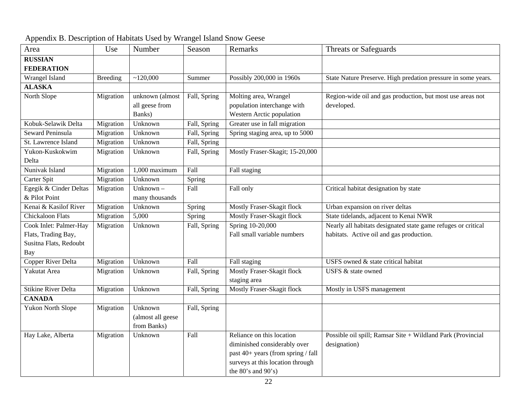| Area                       | Use             | Number            | Season       | Remarks                            | <b>Threats or Safeguards</b>                                  |
|----------------------------|-----------------|-------------------|--------------|------------------------------------|---------------------------------------------------------------|
| <b>RUSSIAN</b>             |                 |                   |              |                                    |                                                               |
| <b>FEDERATION</b>          |                 |                   |              |                                    |                                                               |
| Wrangel Island             | <b>Breeding</b> | ~120,000          | Summer       | Possibly 200,000 in 1960s          | State Nature Preserve. High predation pressure in some years. |
| <b>ALASKA</b>              |                 |                   |              |                                    |                                                               |
| North Slope                | Migration       | unknown (almost   | Fall, Spring | Molting area, Wrangel              | Region-wide oil and gas production, but most use areas not    |
|                            |                 | all geese from    |              | population interchange with        | developed.                                                    |
|                            |                 | Banks)            |              | Western Arctic population          |                                                               |
| Kobuk-Selawik Delta        | Migration       | Unknown           | Fall, Spring | Greater use in fall migration      |                                                               |
| Seward Peninsula           | Migration       | Unknown           | Fall, Spring | Spring staging area, up to 5000    |                                                               |
| St. Lawrence Island        | Migration       | Unknown           | Fall, Spring |                                    |                                                               |
| Yukon-Kuskokwim            | Migration       | Unknown           | Fall, Spring | Mostly Fraser-Skagit; 15-20,000    |                                                               |
| Delta                      |                 |                   |              |                                    |                                                               |
| Nunivak Island             | Migration       | 1,000 maximum     | Fall         | Fall staging                       |                                                               |
| Carter Spit                | Migration       | Unknown           | Spring       |                                    |                                                               |
| Egegik & Cinder Deltas     | Migration       | Unknown $-$       | Fall         | Fall only                          | Critical habitat designation by state                         |
| & Pilot Point              |                 | many thousands    |              |                                    |                                                               |
| Kenai & Kasilof River      | Migration       | Unknown           | Spring       | Mostly Fraser-Skagit flock         | Urban expansion on river deltas                               |
| <b>Chickaloon Flats</b>    | Migration       | 5,000             | Spring       | Mostly Fraser-Skagit flock         | State tidelands, adjacent to Kenai NWR                        |
| Cook Inlet: Palmer-Hay     | Migration       | Unknown           | Fall, Spring | Spring 10-20,000                   | Nearly all habitats designated state game refuges or critical |
| Flats, Trading Bay,        |                 |                   |              | Fall small variable numbers        | habitats. Active oil and gas production.                      |
| Susitna Flats, Redoubt     |                 |                   |              |                                    |                                                               |
| Bay                        |                 |                   |              |                                    |                                                               |
| Copper River Delta         | Migration       | Unknown           | Fall         | Fall staging                       | USFS owned & state critical habitat                           |
| Yakutat Area               | Migration       | Unknown           | Fall, Spring | Mostly Fraser-Skagit flock         | USFS & state owned                                            |
|                            |                 |                   |              | staging area                       |                                                               |
| <b>Stikine River Delta</b> | Migration       | Unknown           | Fall, Spring | Mostly Fraser-Skagit flock         | Mostly in USFS management                                     |
| <b>CANADA</b>              |                 |                   |              |                                    |                                                               |
| <b>Yukon North Slope</b>   | Migration       | Unknown           | Fall, Spring |                                    |                                                               |
|                            |                 | (almost all geese |              |                                    |                                                               |
|                            |                 | from Banks)       |              |                                    |                                                               |
| Hay Lake, Alberta          | Migration       | Unknown           | Fall         | Reliance on this location          | Possible oil spill; Ramsar Site + Wildland Park (Provincial   |
|                            |                 |                   |              | diminished considerably over       | designation)                                                  |
|                            |                 |                   |              | past 40+ years (from spring / fall |                                                               |
|                            |                 |                   |              | surveys at this location through   |                                                               |
|                            |                 |                   |              | the $80's$ and $90's$ )            |                                                               |

| Appendix B. Description of Habitats Used by Wrangel Island Snow Geese |  |  |  |
|-----------------------------------------------------------------------|--|--|--|
|                                                                       |  |  |  |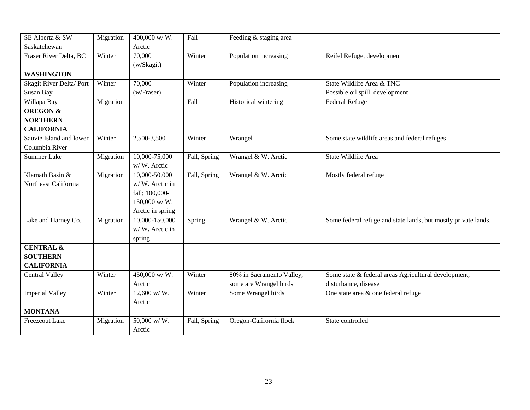| SE Alberta & SW         | Migration | 400,000 w/W.     | Fall         | Feeding & staging area    |                                                                |
|-------------------------|-----------|------------------|--------------|---------------------------|----------------------------------------------------------------|
| Saskatchewan            |           | Arctic           |              |                           |                                                                |
| Fraser River Delta, BC  | Winter    | 70,000           | Winter       | Population increasing     | Reifel Refuge, development                                     |
|                         |           | (w/Skagit)       |              |                           |                                                                |
| <b>WASHINGTON</b>       |           |                  |              |                           |                                                                |
| Skagit River Delta/Port | Winter    | 70,000           | Winter       | Population increasing     | State Wildlife Area & TNC                                      |
| Susan Bay               |           | (w/Fraser)       |              |                           | Possible oil spill, development                                |
| Willapa Bay             | Migration |                  | Fall         | Historical wintering      | Federal Refuge                                                 |
| <b>OREGON &amp;</b>     |           |                  |              |                           |                                                                |
| <b>NORTHERN</b>         |           |                  |              |                           |                                                                |
| <b>CALIFORNIA</b>       |           |                  |              |                           |                                                                |
| Sauvie Island and lower | Winter    | 2,500-3,500      | Winter       | Wrangel                   | Some state wildlife areas and federal refuges                  |
| Columbia River          |           |                  |              |                           |                                                                |
| <b>Summer Lake</b>      | Migration | 10,000-75,000    | Fall, Spring | Wrangel & W. Arctic       | State Wildlife Area                                            |
|                         |           | w/W. Arctic      |              |                           |                                                                |
| Klamath Basin &         | Migration | 10,000-50,000    | Fall, Spring | Wrangel & W. Arctic       | Mostly federal refuge                                          |
| Northeast California    |           | w/W. Arctic in   |              |                           |                                                                |
|                         |           | fall; 100,000-   |              |                           |                                                                |
|                         |           | $150,000$ w/W.   |              |                           |                                                                |
|                         |           | Arctic in spring |              |                           |                                                                |
| Lake and Harney Co.     | Migration | 10,000-150,000   | Spring       | Wrangel & W. Arctic       | Some federal refuge and state lands, but mostly private lands. |
|                         |           | w/W. Arctic in   |              |                           |                                                                |
|                         |           | spring           |              |                           |                                                                |
| <b>CENTRAL &amp;</b>    |           |                  |              |                           |                                                                |
| <b>SOUTHERN</b>         |           |                  |              |                           |                                                                |
| <b>CALIFORNIA</b>       |           |                  |              |                           |                                                                |
| Central Valley          | Winter    | $450,000$ w/W.   | Winter       | 80% in Sacramento Valley, | Some state & federal areas Agricultural development,           |
|                         |           | Arctic           |              | some are Wrangel birds    | disturbance, disease                                           |
| <b>Imperial Valley</b>  | Winter    | 12,600 w/ W.     | Winter       | Some Wrangel birds        | One state area & one federal refuge                            |
|                         |           | Arctic           |              |                           |                                                                |
| <b>MONTANA</b>          |           |                  |              |                           |                                                                |
| <b>Freezeout Lake</b>   | Migration | 50,000 w/W.      | Fall, Spring | Oregon-California flock   | State controlled                                               |
|                         |           | Arctic           |              |                           |                                                                |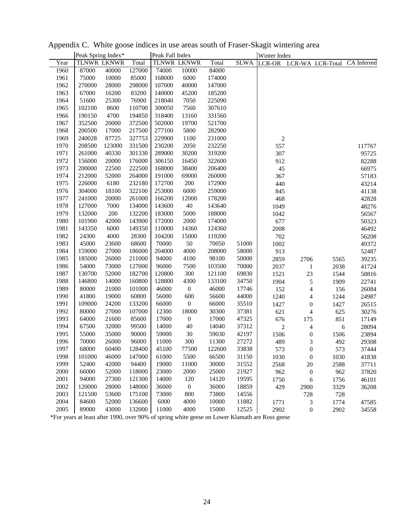|      |        | Peak Spring Index* |        | Peak Fall Index |                    |        |             | Winter Index   |                          |                  |             |
|------|--------|--------------------|--------|-----------------|--------------------|--------|-------------|----------------|--------------------------|------------------|-------------|
| Year |        | TLNWR LKNWR        | Total  |                 | <b>TLNWR LKNWR</b> | Total  | <b>SLWA</b> | <b>LCR-OR</b>  |                          | LCR-WA LCR-Total | CA Inferred |
| 1960 | 87000  | 40000              | 127000 | 74000           | 10000              | 84000  |             |                |                          |                  |             |
| 1961 | 75000  | 10000              | 85000  | 168000          | 6000               | 174000 |             |                |                          |                  |             |
| 1962 | 270000 | 28000              | 298000 | 107000          | 40000              | 147000 |             |                |                          |                  |             |
| 1963 | 67000  | 16200              | 83200  | 140000          | 45200              | 185200 |             |                |                          |                  |             |
| 1964 | 51600  | 25300              | 76900  | 218040          | 7050               | 225090 |             |                |                          |                  |             |
| 1965 | 102100 | 8600               | 110700 | 300050          | 7560               | 307610 |             |                |                          |                  |             |
| 1966 | 190150 | 4700               | 194850 | 318400          | 13160              | 331560 |             |                |                          |                  |             |
| 1967 | 352500 | 20000              | 372500 | 502000          | 19700              | 521700 |             |                |                          |                  |             |
| 1968 | 200500 | 17000              | 217500 | 277100          | 5800               | 282900 |             |                |                          |                  |             |
| 1969 | 240028 | 87725              | 327753 | 229900          | 1100               | 231000 |             | $\overline{c}$ |                          |                  |             |
| 1970 | 208500 | 123000             | 331500 | 230200          | 2050               | 232250 |             | 557            |                          |                  | 117767      |
| 1971 | 261000 | 40330              | 301330 | 289000          | 30200              | 319200 |             | 307            |                          |                  | 95725       |
| 1972 | 156000 | 20000              | 176000 | 306150          | 16450              | 322600 |             | 912            |                          |                  | 82288       |
| 1973 | 200000 | 22500              | 222500 | 168000          | 38400              | 206400 |             | 45             |                          |                  | 66975       |
| 1974 | 212000 | 52000              | 264000 | 191000          | 69000              | 260000 |             | 367            |                          |                  | 57183       |
| 1975 | 226000 | 6180               | 232180 | 172700          | 200                | 172900 |             | 440            |                          |                  | 43214       |
| 1976 | 304000 | 18100              | 322100 | 253000          | 6000               | 259000 |             | 845            |                          |                  | 41138       |
| 1977 | 241000 | 20000              | 261000 | 166200          | 12000              | 178200 |             | 468            |                          |                  | 42828       |
| 1978 | 127000 | 7000               | 134000 | 143600          | 40                 | 143640 |             | 1049           |                          |                  | 48276       |
| 1979 | 132000 | 200                | 132200 | 183000          | 5000               | 188000 |             | 1042           |                          |                  | 56567       |
| 1980 | 101900 | 42000              | 143900 | 172000          | 2000               | 174000 |             | 677            |                          |                  | 50323       |
| 1981 | 143350 | 6000               | 149350 | 110000          | 14360              | 124360 |             | 2008           |                          |                  | 46492       |
| 1982 | 24300  | 4000               | 28300  | 104200          | 15000              | 119200 |             | 702            |                          |                  | 56208       |
| 1983 | 45000  | 23600              | 68600  | 70000           | 50                 | 70050  | 51000       | 1002           |                          |                  | 49372       |
| 1984 | 159000 | 27000              | 186000 | 204000          | 4000               | 208000 | 58000       | 913            |                          |                  | 52487       |
| 1985 | 185000 | 26000              | 211000 | 94000           | 4100               | 98100  | 50000       | 2859           | 2706                     | 5565             | 39235       |
| 1986 | 54000  | 73000              | 127000 | 96000           | 7500               | 103500 | 70000       | 2037           | $\mathbf{1}$             | 2038             | 41724       |
| 1987 | 130700 | 52000              | 182700 | 120800          | 300                | 121100 | 69830       | 1521           | $23\,$                   | 1544             | 58816       |
| 1988 | 146800 | 14000              | 160800 | 128800          | 4300               | 133100 | 34750       | 1904           | $\sqrt{5}$               | 1909             | 22741       |
| 1989 | 80000  | 21000              | 101000 | 46000           | $\boldsymbol{0}$   | 46000  | 17746       | 152            | $\overline{\mathcal{L}}$ | 156              | 26084       |
| 1990 | 41800  | 19000              | 60800  | 56000           | 600                | 56600  | 44000       | 1240           | $\overline{\mathcal{L}}$ | 1244             | 24987       |
| 1991 | 109000 | 24200              | 133200 | 66000           | $\boldsymbol{0}$   | 66000  | 35510       | 1427           | $\boldsymbol{0}$         | 1427             | 26515       |
| 1992 | 80000  | 27000              | 107000 | 12300           | 18000              | 30300  | 37381       | 621            | $\overline{\mathcal{L}}$ | 625              | 30276       |
| 1993 | 64000  | 21600              | 85600  | 17000           | $\boldsymbol{0}$   | 17000  | 47325       | 676            | 175                      | 851              | 17149       |
| 1994 | 67500  | 32000              | 99500  | 14000           | $40\,$             | 14040  | 37312       | $\sqrt{2}$     | 4                        | 6                | 28094       |
| 1995 | 55000  | 35000              | 90000  | 59000           | 30                 | 59030  | 42197       | 1506           | $\boldsymbol{0}$         | 1506             | 23894       |
| 1996 | 70000  | 26000              | 96000  | 11000           | 300                | 11300  | 27272       | 489            | 3                        | 492              | 29308       |
| 1997 | 68000  | 60400              | 128400 | 45100           | 77500              | 122600 | 33838       | 573            | $\boldsymbol{0}$         | 573              | 37444       |
| 1998 | 101000 | 46000              | 147000 | 61000           | 5500               | 66500  | 31150       | 1030           | $\boldsymbol{0}$         | 1030             | 41838       |
| 1999 | 52400  | 42000              | 94400  | 19000           | 11000              | 30000  | 31552       | 2568           | 20                       | 2588             | 37711       |
| 2000 | 66000  | 52000              | 118000 | 23000           | 2000               | 25000  | 21927       | 962            | $\boldsymbol{0}$         | 962              | 37820       |
| 2001 | 94000  | 27300              | 121300 | 14000           | 120                | 14120  | 19595       | 1750           | 6                        | 1756             | 46101       |
| 2002 | 120000 | 28000              | 148000 | 36000           | $\boldsymbol{0}$   | 36000  | 18859       | 429            | 2900                     | 3329             | 36208       |
| 2003 | 121500 | 53600              | 175100 | 73000           | 800                | 73800  | 14556       |                | 728                      | 728              |             |
| 2004 | 84600  | 52000              | 136600 | 6000            | 4000               | 10000  | 11882       | 1771           | 3                        | 1774             | 47585       |
| 2005 | 89000  | 43000              | 132000 | 11000           | 4000               | 15000  | 12525       | 2902           | $\boldsymbol{0}$         | 2902             | 34558       |

Appendix C. White goose indices in use areas south of Fraser-Skagit wintering area

\*For years at least after 1990, over 90% of spring white geese on Lower Klamath are Ross geese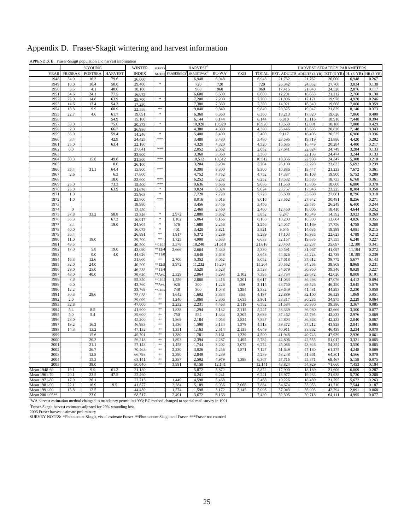|  | Appendix D. Fraser-Skagit wintering and harvest information |
|--|-------------------------------------------------------------|
|  |                                                             |

APPENDIX B. Fraser-Skagit population and harvest information

|                              |                | %YOUNG         |                | <b>WINTER</b>    | SURVEY                            |                | <b>HARVEST</b>  |                 |                |                 |                    | HARVEST STRATEGY PARAMETERS |                          |                  |                 |
|------------------------------|----------------|----------------|----------------|------------------|-----------------------------------|----------------|-----------------|-----------------|----------------|-----------------|--------------------|-----------------------------|--------------------------|------------------|-----------------|
| YEAR                         | <b>PRESEAS</b> | <b>POSTSEA</b> | <b>HARVEST</b> | <b>INDEX</b>     | <b>NOTES</b>                      | FRASER(BC)     | SKAGIT(WA)      | <b>BC-WA</b>    | <b>YKD</b>     | <b>TOTAL</b>    | <b>EST. ADULTS</b> | ADULTS (3-YR)               | TOT $(3-YR)$ H. $(3-YR)$ |                  | <b>HR (3-YR</b> |
| 1948                         | 34.9           | 16.3           | 79.6           | 26,000           |                                   |                | 6,948           | 6,948           |                | 6,948           | 21,762             | 21,762                      | 26,000                   | 6,948            | 0.267           |
| 1949                         | 10.0           | 10.4           | 50.0           | 29,400           | $\ast$                            |                | 720             | 720             |                | 720             | 26,342             | 24,052                      | 27,700                   | 3,834            | 0.138           |
| 1950                         | 5.5            | 4.1            | 40.6           | 18,160           |                                   |                | 960             | 960             |                | 960             | 17,415             | 21,840                      | 24,520                   | 2,876            | 0.117           |
| 1951<br>195                  | 34.6<br>25.0   | 24.1<br>14.8   | 77.5<br>63.9   | 16,075<br>25,700 | $\frac{1}{2}$                     |                | 6,600<br>7,200  | 6,600<br>7,200  |                | 6,600<br>7,200  | 12,201<br>21,896   | 18,653<br>17,171            | 21,212<br>19,978         | 2,760<br>4,920   | 0.130<br>0.246  |
| 195                          | 14.6           | 13.4           | 54.3           | 17,230           |                                   |                | 7,380           | 7,380           |                | 7,380           | 14,921             | 16,340                      | 19,668                   | 7,060            | 0.359           |
| 1954                         | 18.8           | 9.9            | 68.9           | 22,558           | **                                |                | 9,840           | 9,840           |                | 9,840           | 20,325             | 19,047                      | 21,829                   | 8,140            | 0.373           |
| 195                          | 22.7           | 4.6            | 61.7           | 19,091           | $\frac{d\mathbf{x}}{d\mathbf{x}}$ |                | 6,360           | 6,360           |                | 6,360           | 18,213             | 17,820                      | 19,626                   | 7,860            | 0.400           |
| 195                          |                |                | 54.9           | 15,100           |                                   |                | 6,144           | 6,144           |                | 6,144           | 6,810              | 15,116                      | 18,916                   | 7,448            | 0.394           |
| 195'                         | 33.0           |                | 75.6           | 20,373           | ž.                                |                | 10,920          | 10,920          |                | 10,920          | 13,650             | 12,891                      | 18,188                   | 7,808            | 0.429           |
| 195                          | 2.0            |                | 66.7           | 26,986           |                                   |                | 4,380           | 4,380           |                | 4,380           | 26,446             | 15,635                      | 20,820                   | 7,148            | 0.343           |
| 1959                         | 36.0           |                | 59.4           | 14,246           | *<br>***                          |                | 5,400           | 5,400           |                | 5,400           | 9,117              | 16,405                      | 20,535                   | 6,900            | 0.336           |
| 1960<br>1961                 | 3.4<br>25.0    |                | 42.9<br>63.4   | 24,425<br>22,180 |                                   |                | 3,480<br>4,320  | 3,480<br>4,320  |                | 3,480<br>4,320  | 23,595<br>16,635   | 19,719<br>16,449            | 21,886<br>20,284         | 4,420<br>4,400   | 0.202<br>0.217  |
| 1962                         | 0.0            |                |                | 27,641           | ***                               |                | 2,052           | 2,052           |                | 2,052           | 27,641             | 22,624                      | 24,749                   | 3,284            | 0.133           |
| 1963                         |                |                |                | 23,600           |                                   |                | 3,360           | 3,360           |                | 3,360           |                    | 22,138                      | 24,474                   | 3,244            | 0.133           |
| 1964                         | 30.3           | 15.8           | 49.8           | 21,800           | ***                               |                | 10,512          | 10,512          |                | 10,512          | 18,356             | 22,998                      | 24,347                   | 5,308            | 0.218           |
| 1965                         |                |                | 0.0            | 26,100           |                                   |                | 3,204           | 3,204           |                | 3,204           | 26,100             | 22,228                      | 23,833                   | 5,692            | 0.239           |
| 1966                         | 35.4           | 31.1           | 64.4           | 15,800           | ***                               |                | 9,300           | 9,300           |                | 9,300           | 10,886             | 18,447                      | 21,233                   | 7,672            | 0.361           |
| 196                          | 2.6            |                | 6.3            | 17,800           |                                   |                | 4,752           | 4,752           |                | 4,752           | 17,337             | 18,108                      | 19,900                   | 5,752            | 0.289           |
| 1968                         |                |                | 18.0           | 22,600           | ***                               |                | 6,252           | 6,252           |                | 6,252           | 18,532             | 15,585                      | 18,733                   | 6,768            | 0.361           |
| 1969                         | 25.0           |                | 73.3           | 15,400           | ***                               |                | 9,636           | 9,636           |                | 9,636           | 11,550             | 15,806                      | 18,600                   | 6,880            | 0.370           |
| 1970<br>197                  | 25.0<br>1.0    |                | 63.9           | 31,676           | $\frac{d\mathbf{x}}{d\mathbf{x}}$ |                | 9,024<br>7,728  | 9,024           |                | 9,024<br>7,728  | 23,757             | 17,946<br>23,638            | 23,225<br>27,681         | 8,304<br>8,796   | 0.358<br>0.318  |
| 197                          | 1.0            |                |                | 35,968<br>23,800 | ***                               |                | 8,016           | 7,728<br>8,016  |                | 8,016           | 35,608<br>23,562   | 27,642                      | 30,481                   | 8,256            | 0.271           |
| 197                          |                |                |                | 18,980           |                                   |                | 3,456           | 3,456           |                | 3,456           |                    | 29,585                      | 26,249                   | 6,400            | 0.244           |
| 1974                         | $\mathbf{0}$   |                |                | 12,450           |                                   |                | 2,460           | 2,460           |                | 2,460           | 12,450             | 18,006                      | 18,410                   | 4,644            | 0.252           |
| 197                          | 37.8           | 33.2           | 58.8           | 12,346           | $\ast$                            | 2,972          | 2,880           | 5,852           |                | 5,852           | 8,247              | 10,349                      | 14,592                   | 3,923            | 0.269           |
| 1976                         | 36.3           |                | 67.3           | 16,017           | $\ast$                            | 1,102          | 5,064           | 6,166           |                | 6,166           | 10,203             | 10,300                      | 13,604                   | 4,826            | 0.355           |
| 197                          | 3.4            |                | 19.0           | 24,904           | $\ast$                            | 576            | 1,680           | 2,256           |                | 2,256           | 24,057             | 14,169                      | 17,756                   | 4,758            | 0.268           |
| 1978                         | 40.0           |                |                | 16,075           | $\ast$                            | 401            | 3,420           | 3,821           |                | 3,821           | 9,645              | 14,635                      | 18,999                   | 4,081            | 0.215           |
| 1979                         | 36.4           |                |                | 26,891           | $\ast\ast$<br>$* *$               | 1,917          | 6,372           | 8,289           |                | 8,289           | 17,103             | 16,935                      | 22,623                   | 4,789            | 0.212           |
| 1980<br>1981                 | 11.0<br>49.5   | 19.0           |                | 39,700<br>40,500 | $**11/1$                          | 1,725<br>3,378 | 4.908<br>18,240 | 6,633<br>21,618 |                | 6,633<br>21,618 | 32,157<br>20,453   | 19.635<br>23,237            | 27.555<br>35,697         | 6,248            | 0.227<br>0.341  |
| 1982                         | 17.0           | 5.8            | 19.0           | 43,090           | $*$ <sup>*</sup> 12/4             | 2,666          | 2,664           | 5,330           |                | 5,330           | 40,591             | 31,067                      | 41,097                   | 12,180<br>11,194 | 0.272           |
| 198                          |                | 0.0            | 4.0            | 44,626           | $**11/8$                          |                | 3,648           | 3,648           |                | 3,648           | 44,626             | 35,223                      | 42,739                   | 10,199           | 0.239           |
| 1984                         | 16.3           | 12.6           |                | 31,600           | **                                | 2,700          | 5,352           | 8,052           |                | 8,052           | 27,618             | 37,612                      | 39,772                   | 5,677            | 0.143           |
| 198                          | 32.0           | 24.0           |                | 40,200           | $*$ 12/                           | 3,972          | 11,232          | 15,204          |                | 15,204          | 30,552             | 34,265                      | 38,809                   | 8,968            | 0.231           |
| 198                          | 29.0           | 25.0           |                | 46,238           | $*$ 11/4                          |                | 3,528           | 3,528           |                | 3,528           | 34,679             | 30,950                      | 39,346                   | 8,928            | 0.227           |
| 198                          | 43.0           | 40.0           |                | 39,640           | <sup>k*</sup> Ave                 | 2,329          | 2,964           | 5,293           | 2,102          | 7,395           | 23,784             | 29,672                      | 42,026                   | 8,008            | 0.191           |
| 198                          | 7.8            |                |                | 55,350           | $**11/1$                          | 1,556          | 2,860           | 4,416           | 5,201          | 9,617           | 51,033             | 36,498                      | 47,076                   | 4,412            | 0.094           |
| 1989                         | 0.0<br>12.2    |                |                | 43,760           | **Ave                             | 926<br>748     | 300             | 1,226           | 889            | 2,115<br>2,332  | 43,760             | 39,526                      | 46,250                   | 3,645            | 0.079           |
| 1990<br>1991                 | 30.3           | 28.6           |                | 33,769<br>32,058 | $**12/1$<br>$\pm\pm$              | 1,642          | 300<br>1,692    | 1,048<br>3,334  | 1,284<br>863   | 4,197           | 29,649<br>22,889   | 41,481<br>32,100            | 44,293<br>36,529         | 2,230<br>1,869   | 0.050<br>0.051  |
| 1992                         | 2.0            |                |                | 39,099           | $**$                              | 1,246          | 1,060           | 2,306           | 1,655          | 3,961           | 38,317             | 30,285                      | 34,975                   | 2,229            | 0.064           |
| 1993                         | 32.8           |                |                | 47,000           | $\pm \pm$                         | 2,232          | 2,231           | 4,463           | 2,119          | 6,582           | 31,584             | 30,930                      | 39,386                   | 3,367            | 0.085           |
| 1994                         | 5.4            | 8.5            |                | 41,900           | **                                | 1,838          | 1,294           | 3,132           | 2,115          | 5,247           | 38,339             | 36,080                      | 42,666                   | 3,300            | 0.077           |
| 199:                         | 5.0            | 5.4            |                | 39,600           | $\pm\pm$                          | 750            | 584             | 1,334           | 2,305          | 3,639           | 37,462             | 35,795                      | 42,833                   | 2,976            | 0.069           |
| 1996                         | 23.0           |                |                | 45,200           | **                                | 1,869          | 2,184           | 4,053           | 3,834          | 7,887           | 34,804             | 36,868                      | 42,233                   | 2,840            | 0.067           |
| 1997                         | 19.2           | 16.2           |                | 46,983           | $\pm \pm$                         | 1,536          | 1,598           | 3.134           | 1.379          | 4,513           | 39,372             | 37,212                      | 43.928                   | 2,841            | 0.065           |
| 1998<br>1999                 | 14.3           | 13.2           |                | 47,132           | $**$<br>$\ast\ast$                | 1,351          | 1,163           | 2,514           | 2,135          | 4,649           | 40,911             | 38,362                      | 46,438                   | 3,234            | 0.070           |
| 2000                         |                | 15.6<br>20.3   |                | 49,701<br>56,218 | $\pm\pm$                          | 1,380<br>1,893 | 1,781<br>2,394  | 3,161<br>4,287  | 1,339<br>1,495 | 4,500<br>5,782  | 41,948<br>44,806   | 40,743<br>42,555            | 47,939<br>51,017         | 2,936<br>3,321   | 0.061<br>0.065  |
| 2001                         |                | 21.1           |                | 57,143           | **                                | 1,458          | 1,744           | 3,202           | 3,072          | 6,274           | 45,086             | 43,946                      | 54,354                   | 3,550            | 0.065           |
| 2002                         |                | 26.7           |                | 70,463           | **                                | 2,230          | 3,026           | 5,256           | 1,871          | 7,127           | 51,649             | 47,180                      | 61,275                   | 4,248            | 0.069           |
| 200                          |                | 12.8           |                | 66,798           | $**$                              | 2,390          | 2,849           | 5,239           |                | 5,239           | 58,248             | 51,661                      | 64,801                   | 4,566            | 0.070           |
| 2004                         |                | 15.3           |                | 68,141           | $\pm \pm$                         | 2,387          | 2,592           | 4,979           | 1,388          | 6,367           | 57,715             | 55,871                      | 68,467                   | 5,158            | 0.075           |
| 200:                         |                | 39.0           |                | 80,040           | **                                | 3,991          | 8,150           | 12,141          |                | 12,141          | 48,824             | 54,929                      | 71,660                   | 7,453            | 0.104           |
| Mean 1948-60                 | 19.1           | 9.9            | 61.2           | 21,180           |                                   |                | 5,872           | 5,872           |                | 5,872           | 17,900             | 18,189                      | 21,606                   | 6,009            | 0.287           |
| Mean 1961-70                 | 20.1           | 23.5           | 47.5           | 22,460           |                                   |                | 6,241           | 6,241           |                | 6,241           | 18,977             | 19,233                      | 21,938                   | 5,730            | 0.268           |
| Mean 1971-80                 | 17.9           | 26.1           |                | 22,713           |                                   | 1,449          | 4,598           | 5,468           |                | 5,468           | 19,226             | 18,489                      | 21,795                   | 5,672            | 0.263           |
| Mean 1981-90<br>Mean 1991-00 | 22.1<br>13.8   | 16.9<br>12.5   | 9.5            | 41,877<br>44,489 |                                   | 2,284<br>1,574 | 5,109<br>1,598  | 6,936<br>3,172  | 2,068<br>2,145 | 7,884<br>5,096  | 34,674<br>37,043   | 33,953<br>36,093            | 41,710<br>42,794         | 7,544<br>2,891   | 0.187<br>0.068  |
| Mean 2001-05**               |                | 23.0           |                | 68,517           |                                   | 2,491          | 3,672           | 6,163           |                | 7,430           | 52,305             | 50,718                      | 64,111                   | 4,995            | 0.077           |
|                              |                |                |                |                  |                                   |                |                 |                 |                |                 |                    |                             |                          |                  |                 |

<sup>1</sup>WA harvest estimation method changed to mandatory permit in 1993; BC method changed to special mail survey in 1991

<sup>2</sup>Fraser-Skagit harvest estimates adjusted for 20% wounding loss<br>2005 Fraser harvest estimate preliminary<br>SURVEY NOTES: \*Photo count Skagit, visual estimate Fraser \*\*Photo count Skagit and Fraser \*\*\*Fraser not counted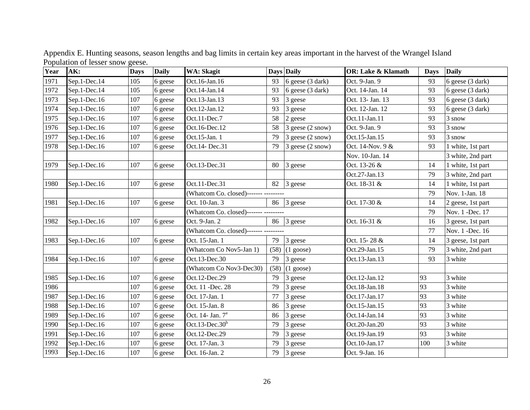| Year | AK:          | <b>Days</b> | <b>Daily</b> | <b>WA: Skagit</b>                      |      | Days Daily                 | <b>OR: Lake &amp; Klamath</b> | <b>Days</b>     | <b>Daily</b>      |
|------|--------------|-------------|--------------|----------------------------------------|------|----------------------------|-------------------------------|-----------------|-------------------|
| 1971 | Sep.1-Dec.14 | 105         | 6 geese      | Oct.16-Jan.16                          | 93   | 6 geese $(3 \text{ dark})$ | Oct. 9-Jan. 9                 | 93              | 6 geese (3 dark)  |
| 1972 | Sep.1-Dec.14 | 105         | 6 geese      | Oct.14-Jan.14                          | 93   | 6 geese $(3 \text{ dark})$ | Oct. 14-Jan. 14               | 93              | 6 geese (3 dark)  |
| 1973 | Sep.1-Dec.16 | 107         | 6 geese      | Oct.13-Jan.13                          | 93   | 3 geese                    | Oct. 13- Jan. 13              | 93              | 6 geese (3 dark)  |
| 1974 | Sep.1-Dec.16 | 107         | 6 geese      | Oct.12-Jan.12                          | 93   | 3 geese                    | Oct. 12-Jan. 12               | 93              | 6 geese (3 dark)  |
| 1975 | Sep.1-Dec.16 | 107         | 6 geese      | Oct.11-Dec.7                           | 58   | 2 geese                    | Oct.11-Jan.11                 | 93              | 3 snow            |
| 1976 | Sep.1-Dec.16 | 107         | 6 geese      | Oct.16-Dec.12                          | 58   | 3 geese (2 snow)           | Oct. 9-Jan. 9                 | 93              | 3 snow            |
| 1977 | Sep.1-Dec.16 | 107         | 6 geese      | Oct.15-Jan. 1                          | 79   | 3 geese (2 snow)           | Oct.15-Jan.15                 | 93              | 3 snow            |
| 1978 | Sep.1-Dec.16 | 107         | 6 geese      | Oct.14- Dec.31                         | 79   | 3 geese (2 snow)           | Oct. 14-Nov. 9 &              | 93              | 1 white, 1st part |
|      |              |             |              |                                        |      |                            | Nov. 10-Jan. 14               |                 | 3 white, 2nd part |
| 1979 | Sep.1-Dec.16 | 107         | 6 geese      | Oct.13-Dec.31                          | 80   | 3 geese                    | Oct. 13-26 &                  | 14              | 1 white, 1st part |
|      |              |             |              |                                        |      |                            | Oct.27-Jan.13                 | 79              | 3 white, 2nd part |
| 1980 | Sep.1-Dec.16 | 107         | 6 geese      | Oct.11-Dec.31                          | 82   | 3 geese                    | Oct. 18-31 &                  | 14              | 1 white, 1st part |
|      |              |             |              | (Whatcom Co. closed)------- ---------- |      |                            |                               | 79              | Nov. 1-Jan. 18    |
| 1981 | Sep.1-Dec.16 | 107         | 6 geese      | Oct. 10-Jan. 3                         |      | 86 3 geese                 | Oct. 17-30 &                  | 14              | 2 geese, 1st part |
|      |              |             |              | (Whatcom Co. closed)------- ---------  |      |                            | 79                            | Nov. 1 -Dec. 17 |                   |
| 1982 | Sep.1-Dec.16 | 107         | 6 geese      | Oct. 9-Jan. 2                          | 86   | 3 geese                    | Oct. 16-31 &                  | 16              | 3 geese, 1st part |
|      |              |             |              | (Whatcom Co. closed)------- ---------- |      |                            |                               | 77              | Nov. 1 -Dec. 16   |
| 1983 | Sep.1-Dec.16 | 107         | 6 geese      | Oct. 15-Jan. 1                         | 79   | 3 geese                    | Oct. 15-28 &                  | 14              | 3 geese, 1st part |
|      |              |             |              | (Whatcom Co Nov5-Jan 1)                | (58) | $(1 \text{ goes})$         | Oct.29-Jan.15                 | 79              | 3 white, 2nd part |
| 1984 | Sep.1-Dec.16 | 107         | 6 geese      | Oct.13-Dec.30                          | 79   | 3 geese                    | Oct.13-Jan.13                 | 93              | 3 white           |
|      |              |             |              | (Whatcom Co Nov3-Dec30)                | (58) | $(1 \text{ goes})$         |                               |                 |                   |
| 1985 | Sep.1-Dec.16 | 107         | 6 geese      | Oct.12-Dec.29                          | 79   | 3 geese                    | Oct.12-Jan.12                 | 93              | 3 white           |
| 1986 |              | 107         | 6 geese      | Oct. 11 -Dec. 28                       | 79   | 3 geese                    | Oct.18-Jan.18                 | 93              | 3 white           |
| 1987 | Sep.1-Dec.16 | 107         | 6 geese      | Oct. 17-Jan. 1                         | 77   | 3 geese                    | Oct.17-Jan.17                 | 93              | 3 white           |
| 1988 | Sep.1-Dec.16 | 107         | 6 geese      | Oct. 15-Jan. 8                         | 86   | 3 geese                    | Oct.15-Jan.15                 | 93              | 3 white           |
| 1989 | Sep.1-Dec.16 | 107         | 6 geese      | Oct. 14- Jan. 7 <sup>a</sup>           | 86   | 3 geese                    | Oct.14-Jan.14                 | 93              | 3 white           |
| 1990 | Sep.1-Dec.16 | 107         | 6 geese      | Oct.13-Dec.30 $b$                      | 79   | 3 geese                    | Oct.20-Jan.20                 | 93              | 3 white           |
| 1991 | Sep.1-Dec.16 | 107         | 6 geese      | Oct.12-Dec.29                          | 79   | 3 geese                    | Oct.19-Jan.19                 | 93              | 3 white           |
| 1992 | Sep.1-Dec.16 | 107         | 6 geese      | Oct. 17-Jan. 3                         | 79   | 3 geese                    | Oct.10-Jan.17                 | 100             | 3 white           |
| 1993 | Sep.1-Dec.16 | 107         | 6 geese      | Oct. 16-Jan. 2                         | 79   | 3 geese                    | Oct. 9-Jan. 16                |                 |                   |

Appendix E. Hunting seasons, season lengths and bag limits in certain key areas important in the harvest of the Wrangel Island Population of lesser snow geese.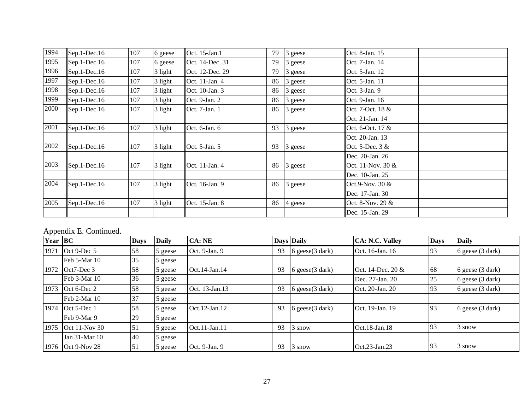| 1994 | $Sep.1-Dec.16$ | 107 | 6 geese | Oct. 15-Jan.1   | 79 | 3 geese | Oct. 8-Jan. 15     |
|------|----------------|-----|---------|-----------------|----|---------|--------------------|
| 1995 | $Sep.1-Dec.16$ | 107 | 6 geese | Oct. 14-Dec. 31 | 79 | 3 geese | Oct. 7-Jan. 14     |
| 1996 | $Sep.1-Dec.16$ | 107 | 3 light | Oct. 12-Dec. 29 | 79 | 3 geese | Oct. 5-Jan. 12     |
| 1997 | $Sep.1-Dec.16$ | 107 | 3 light | Oct. 11-Jan. 4  | 86 | 3 geese | Oct. 5-Jan. 11     |
| 1998 | $Sep.1-Dec.16$ | 107 | 3 light | Oct. 10-Jan. 3  | 86 | 3 geese | Oct. 3-Jan. 9      |
| 1999 | $Sep.1-Dec.16$ | 107 | 3 light | Oct. 9-Jan. 2   | 86 | 3 geese | Oct. 9-Jan. 16     |
| 2000 | $Sep.1-Dec.16$ | 107 | 3 light | Oct. 7-Jan. 1   | 86 | 3 geese | Oct. 7-Oct. 18 &   |
|      |                |     |         |                 |    |         | Oct. 21-Jan. 14    |
| 2001 | $Sep.1-Dec.16$ | 107 | 3 light | Oct. 6-Jan. 6   | 93 | 3 geese | Oct. 6-Oct. 17 &   |
|      |                |     |         |                 |    |         | Oct. 20-Jan. 13    |
| 2002 | $Sep.1-Dec.16$ | 107 | 3 light | Oct. 5-Jan. 5   | 93 | 3 geese | Oct. 5-Dec. $3 &$  |
|      |                |     |         |                 |    |         | Dec. 20-Jan. 26    |
| 2003 | $Sep.1-Dec.16$ | 107 | 3 light | Oct. 11-Jan. 4  | 86 | 3 geese | Oct. 11-Nov. 30 &  |
|      |                |     |         |                 |    |         | Dec. 10-Jan. 25    |
| 2004 | $Sep.1-Dec.16$ | 107 | 3 light | Oct. 16-Jan. 9  | 86 | 3 geese | Oct.9-Nov. $30 \&$ |
|      |                |     |         |                 |    |         | Dec. 17-Jan. 30    |
| 2005 | $Sep.1-Dec.16$ | 107 | 3 light | Oct. 15-Jan. 8  | 86 | 4 geese | Oct. 8-Nov. 29 &   |
|      |                |     |         |                 |    |         | Dec. 15-Jan. 29    |

## Appendix E. Continued.

| Year BC |                      | <b>Days</b>      | <b>Daily</b> | CA:NE               |    | <b>Days Daily</b>    | <b>CA: N.C. Valley</b> | <b>Days</b> | <b>Daily</b>               |
|---------|----------------------|------------------|--------------|---------------------|----|----------------------|------------------------|-------------|----------------------------|
| 1971    | Oct 9-Dec 5          | 58               | 5 geese      | Oct. 9-Jan. 9       | 93 | $6$ geese $(3$ dark) | Oct. 16-Jan. 16        | 93          | 6 geese (3 dark)           |
|         | Feb 5-Mar 10         | 35               | 5 geese      |                     |    |                      |                        |             |                            |
| 1972    | Oct7-Dec 3           | 58               | 5 geese      | Oct.14-Jan.14       | 93 | 6 geese $(3$ dark)   | Oct. 14-Dec. 20 &      | 68          | 6 geese $(3 \text{ dark})$ |
|         | Feb 3-Mar 10         | 36               | 5 geese      |                     |    |                      | Dec. 27-Jan. 20        | 25          | $6$ geese $(3$ dark)       |
| 1973    | Oct 6-Dec 2          | 58               | 5 geese      | Oct. 13-Jan.13      | 93 | 6 geese $(3$ dark)   | Oct. 20-Jan. 20        | 93          | $6$ geese $(3$ dark)       |
|         | Feb 2-Mar 10         | 37               | 5 geese      |                     |    |                      |                        |             |                            |
| 1974    | Oct 5-Dec 1          | 58               | 5 geese      | Oct.12-Jan.12       | 93 | 6 geese $(3$ dark)   | Oct. 19-Jan. 19        | 193         | 6 geese $(3 \text{ dark})$ |
|         | Feb 9-Mar 9          | 29               | 5 geese      |                     |    |                      |                        |             |                            |
| 1975    | <b>Oct 11-Nov 30</b> | 51               | 5 geese      | $Oct.11$ -Jan. $11$ | 93 | 3 snow               | Oct.18-Jan.18          | 93          | 3 snow                     |
|         | Jan 31-Mar 10        | 40               | 5 geese      |                     |    |                      |                        |             |                            |
|         | 1976 Oct 9-Nov 28    | $\vert 51 \vert$ | 5 geese      | Oct. 9-Jan. 9       | 93 | 3 snow               | Oct.23-Jan.23          | 93          | 3 snow                     |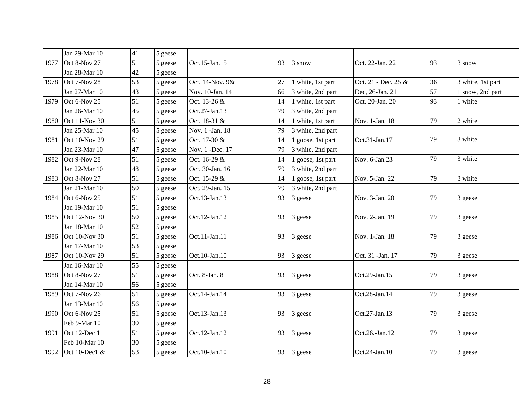|      | Jan 29-Mar 10        | 41            | 5 geese   |                  |    |                   |                     |    |                   |
|------|----------------------|---------------|-----------|------------------|----|-------------------|---------------------|----|-------------------|
| 1977 | Oct 8-Nov 27         | 51            | 5 geese   | Oct.15-Jan.15    | 93 | 3 snow            | Oct. 22-Jan. 22     | 93 | 3 snow            |
|      | Jan 28-Mar 10        | 42            | 5 geese   |                  |    |                   |                     |    |                   |
| 1978 | Oct 7-Nov 28         | 53            | 5 geese   | Oct. 14-Nov. 9&  | 27 | 1 white, 1st part | Oct. 21 - Dec. 25 & | 36 | 3 white, 1st part |
|      | Jan 27-Mar 10        | 43            | 5 geese   | Nov. 10-Jan. 14  | 66 | 3 white, 2nd part | Dec, 26-Jan. 21     | 57 | 1 snow, 2nd part  |
| 1979 | Oct 6-Nov 25         | 51            | 5 geese   | Oct. 13-26 &     | 14 | 1 white, 1st part | Oct. 20-Jan. 20     | 93 | 1 white           |
|      | Jan 26-Mar 10        | 45            | 5 geese   | Oct.27-Jan.13    | 79 | 3 white, 2nd part |                     |    |                   |
| 1980 | <b>Oct 11-Nov 30</b> | 51            | 5 geese   | Oct. 18-31 &     | 14 | 1 white, 1st part | Nov. 1-Jan. 18      | 79 | 2 white           |
|      | Jan 25-Mar 10        | 45            | 5 geese   | Nov. 1 -Jan. 18  | 79 | 3 white, 2nd part |                     |    |                   |
| 1981 | Oct 10-Nov 29        | 51            | 5 geese   | Oct. 17-30 &     | 14 | 1 goose, 1st part | Oct.31-Jan.17       | 79 | 3 white           |
|      | Jan 23-Mar 10        | 47            | 5 geese   | Nov. 1 - Dec. 17 | 79 | 3 white, 2nd part |                     |    |                   |
| 1982 | Oct 9-Nov 28         | 51<br>5 geese |           | Oct. 16-29 &     | 14 | 1 goose, 1st part | Nov. 6-Jan.23       | 79 | 3 white           |
|      | Jan 22-Mar 10        | 48            | 5 geese   | Oct. 30-Jan. 16  | 79 | 3 white, 2nd part |                     |    |                   |
| 1983 | Oct 8-Nov 27         | 51            | 5 geese   | Oct. 15-29 &     | 14 | 1 goose, 1st part | Nov. 5-Jan. 22      | 79 | 3 white           |
|      | Jan 21-Mar 10        | 50            | 5 geese   | Oct. 29-Jan. 15  | 79 | 3 white, 2nd part |                     |    |                   |
| 1984 | Oct 6-Nov 25         | 51            | geese     | Oct.13-Jan.13    | 93 | 3 geese           | Nov. 3-Jan. 20      | 79 | 3 geese           |
|      | Jan 19-Mar 10        | 51            | 5 geese   |                  |    |                   |                     |    |                   |
| 1985 | Oct 12-Nov 30        | 50            | 5 geese   | Oct.12-Jan.12    | 93 | 3 geese           | Nov. 2-Jan. 19      | 79 | 3 geese           |
|      | Jan 18-Mar 10        | 52            | 5 geese   |                  |    |                   |                     |    |                   |
| 1986 | Oct 10-Nov 30        | 51            | 5 geese   | Oct.11-Jan.11    | 93 | 3 geese           | Nov. 1-Jan. 18      | 79 | 3 geese           |
|      | Jan 17-Mar 10        | 53            | 5 geese   |                  |    |                   |                     |    |                   |
| 1987 | Oct 10-Nov 29        | 51            | $5$ geese | Oct.10-Jan.10    | 93 | 3 geese           | Oct. 31 - Jan. 17   | 79 | 3 geese           |
|      | Jan 16-Mar 10        | 55            | 5 geese   |                  |    |                   |                     |    |                   |
| 1988 | Oct 8-Nov 27         | 51            | 5 geese   | Oct. 8-Jan. 8    | 93 | 3 geese           | Oct.29-Jan.15       | 79 | 3 geese           |
|      | Jan 14-Mar 10        | 56            | 5 geese   |                  |    |                   |                     |    |                   |
| 1989 | Oct 7-Nov 26         | 51            | 5 geese   | Oct.14-Jan.14    | 93 | 3 geese           | Oct.28-Jan.14       | 79 | 3 geese           |
|      | Jan 13-Mar 10        | 56            | 5 geese   |                  |    |                   |                     |    |                   |
| 1990 | Oct 6-Nov 25         | 51            | 5 geese   | Oct.13-Jan.13    | 93 | 3 geese           | Oct.27-Jan.13       | 79 | 3 geese           |
|      | Feb 9-Mar 10         | 30            | 5 geese   |                  |    |                   |                     |    |                   |
| 1991 | Oct 12-Dec 1         | 51            | 5 geese   | Oct.12-Jan.12    | 93 | 3 geese           | Oct.26.-Jan.12      | 79 | 3 geese           |
|      | Feb 10-Mar 10        | 30            | 5 geese   |                  |    |                   |                     |    |                   |
| 1992 | Oct 10-Dec1 &        | 53            | 5 geese   | Oct.10-Jan.10    | 93 | 3 geese           | Oct.24-Jan.10       | 79 | 3 geese           |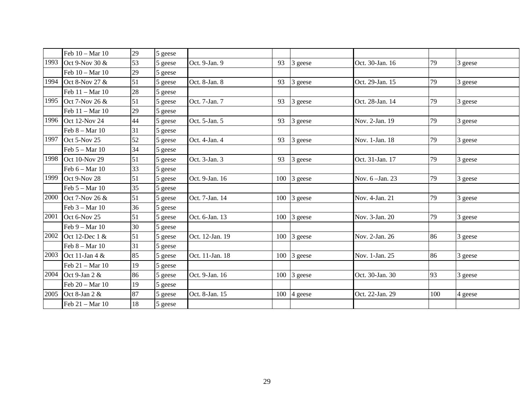|      | Feb 10 - Mar 10      | 29 | 5 geese |                 |    |                     |                 |     |         |
|------|----------------------|----|---------|-----------------|----|---------------------|-----------------|-----|---------|
| 1993 | Oct 9-Nov 30 &       | 53 | 5 geese | Oct. 9-Jan. 9   | 93 | 3 geese             | Oct. 30-Jan. 16 | 79  | 3 geese |
|      | Feb 10 - Mar 10      | 29 | 5 geese |                 |    |                     |                 |     |         |
| 1994 | Oct 8-Nov 27 &       | 51 | 5 geese | Oct. 8-Jan. 8   | 93 | 3 geese             | Oct. 29-Jan. 15 | 79  | 3 geese |
|      | Feb 11 - Mar 10      | 28 | 5 geese |                 |    |                     |                 |     |         |
| 1995 | Oct 7-Nov 26 &       | 51 | 5 geese | Oct. 7-Jan. 7   | 93 | 3 geese             | Oct. 28-Jan. 14 | 79  | 3 geese |
|      | Feb 11 - Mar 10      | 29 | 5 geese |                 |    |                     |                 |     |         |
|      | 1996 Oct 12-Nov 24   | 44 | 5 geese | Oct. 5-Jan. 5   | 93 | 3 geese             | Nov. 2-Jan. 19  | 79  | 3 geese |
|      | Feb $8 - Mar 10$     | 31 | 5 geese |                 |    |                     |                 |     |         |
|      | 1997 Oct 5-Nov 25    | 52 | 5 geese | Oct. 4-Jan. 4   | 93 | 3 geese             | Nov. 1-Jan. 18  | 79  | 3 geese |
|      | Feb $5 - Mar$ 10     | 34 | 5 geese |                 |    |                     |                 |     |         |
| 1998 | <b>Oct 10-Nov 29</b> | 51 | 5 geese | Oct. 3-Jan. 3   | 93 | 3 geese             | Oct. 31-Jan. 17 | 79  | 3 geese |
|      | Feb $6 - Mar$ 10     | 33 | 5 geese |                 |    |                     |                 |     |         |
| 1999 | Oct 9-Nov 28         | 51 | 5 geese | Oct. 9-Jan. 16  |    | $100 \vert 3$ geese | Nov. 6-Jan. 23  | 79  | 3 geese |
|      | Feb $5 - Mar$ 10     | 35 | 5 geese |                 |    |                     |                 |     |         |
| 2000 | Oct 7-Nov 26 &       | 51 | 5 geese | Oct. 7-Jan. 14  |    | 100 3 geese         | Nov. 4-Jan. 21  | 79  | 3 geese |
|      | Feb $3 - Mar$ 10     | 36 | 5 geese |                 |    |                     |                 |     |         |
| 2001 | Oct 6-Nov 25         | 51 | 5 geese | Oct. 6-Jan. 13  |    | $100$ 3 geese       | Nov. 3-Jan. 20  | 79  | 3 geese |
|      | Feb 9 - Mar 10       | 30 | 5 geese |                 |    |                     |                 |     |         |
|      | 2002 Oct 12-Dec 1 &  | 51 | 5 geese | Oct. 12-Jan. 19 |    | $100\,$ 3 geese     | Nov. 2-Jan. 26  | 86  | 3 geese |
|      | Feb $8 - Mar$ 10     | 31 | 5 geese |                 |    |                     |                 |     |         |
|      | 2003 Oct 11-Jan 4 &  | 85 | 5 geese | Oct. 11-Jan. 18 |    | $100 \vert 3$ geese | Nov. 1-Jan. 25  | 86  | 3 geese |
|      | Feb 21 - Mar 10      | 19 | 5 geese |                 |    |                     |                 |     |         |
|      | 2004 Oct 9-Jan 2 &   | 86 | 5 geese | Oct. 9-Jan. 16  |    | $100$ 3 geese       | Oct. 30-Jan. 30 | 93  | 3 geese |
|      | Feb 20 - Mar 10      | 19 | 5 geese |                 |    |                     |                 |     |         |
| 2005 | Oct 8-Jan 2 &        | 87 | 5 geese | Oct. 8-Jan. 15  |    | $100\;$ 4 geese     | Oct. 22-Jan. 29 | 100 | 4 geese |
|      | Feb 21 - Mar 10      | 18 | 5 geese |                 |    |                     |                 |     |         |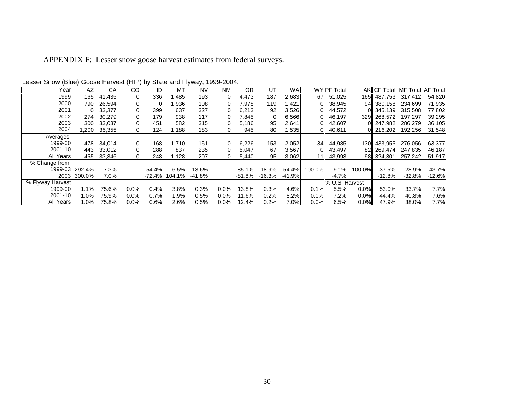APPENDIX F: Lesser snow goose harvest estimates from federal surveys.

| Year             | AZ          | CA     | CO          | ID       | МT     | NV       | <b>NM</b> | 0R       | UT       | <b>WA</b> |                      | <b>WY PF Total</b> |                   |             | AKI CF Total MF Total AF Total |          |
|------------------|-------------|--------|-------------|----------|--------|----------|-----------|----------|----------|-----------|----------------------|--------------------|-------------------|-------------|--------------------------------|----------|
| 1999             | 165         | 41.435 | $\mathbf 0$ | 336      | .485   | 193      | $\Omega$  | 4,473    | 187      | 2,683     | 67I                  | 51.025             |                   | 165 487.753 | 317.412                        | 54.820   |
| 2000             | 790         | 26.594 | 0           | $\Omega$ | .936   | 108      | 0         | 7.978    | 119      | ,421      |                      | 38,945             | 94II              | 380.158     | 234.699                        | 71,935   |
| 2001             | $\Omega$    | 33.377 | $\mathbf 0$ | 399      | 637    | 327      | 0         | 6,213    | 92       | 3,526     | nıı                  | 44.572             |                   | 345.139     | 315,508                        | 77,802   |
| 2002             | 274         | 30.279 | 0           | 179      | 938    | 117      | 0         | 7,845    | 0        | 6,566     |                      | 46.197             | 329               | 268.572     | 197.297                        | 39,295   |
| 2003             | 300         | 33.037 | 0           | 451      | 582    | 315      | 0         | 5,186    | 95       | 2,641     |                      | 42,607             |                   | 247.982     | 286.279                        | 36,105   |
| 2004             | ,200        | 35,355 | 0           | 124      | 1,188  | 183      | 0         | 945      | 80       | .535      |                      | 40,611             |                   | 개 216,202   | 192.256                        | 31,548   |
| Averages:        |             |        |             |          |        |          |           |          |          |           |                      |                    |                   |             |                                |          |
| 1999-00          | 478         | 34,014 | 0           | 168      | 1,710  | 151      | 0         | 6,226    | 153      | 2,052     | 34                   | 44.985             |                   | 130 433,955 | 276,056                        | 63,377   |
| 2001-10          | 443         | 33.012 | 0           | 288      | 837    | 235      | 0         | 5,047    | 67       | 3,567     |                      | 43,497             | 821               | 269.474     | 247.835                        | 46,187   |
| All Years        | 455         | 33.346 | 0           | 248      | 1.128  | 207      | 0         | 5,440    | 95       | 3,062     |                      | 43.993             | 98II              | 324.301     | 257.242                        | 51,917   |
| % Change from:   |             |        |             |          |        |          |           |          |          |           |                      |                    |                   |             |                                |          |
| 1999-03          | 292.4%      | 7.3%   |             | $-54.4%$ | 6.5%   | $-13.6%$ |           | $-85.1%$ | $-18.9%$ |           | $-54.4\%$ $-100.0\%$ |                    | $-9.1\% -100.0\%$ | $-37.5%$    | $-28.9%$                       | $-43.7%$ |
|                  | 2003 300.0% | 7.0%   |             | -72.4%   | 104.1% | -41.8%   |           | -81.8%   | $-16.3%$ | $-41.9%$  |                      | $-4.7%$            |                   | $-12.8%$    | $-32.8%$                       | -12.6%   |
| % Flyway Harvest |             |        |             |          |        |          |           |          |          |           |                      | % U.S. Harvest     |                   |             |                                |          |
| 1999-00          | 1.1%        | 75.6%  | $0.0\%$     | 0.4%     | 3.8%   | 0.3%     | 0.0%      | 13.8%    | 0.3%     | 4.6%      | 0.1%                 | 5.5%               | 0.0%              | 53.0%       | 33.7%                          | 7.7%     |
| 2001-10          | 1.0%        | 75.9%  | $0.0\%$     | 0.7%     | 1.9%   | 0.5%     | 0.0%      | 11.6%    | 0.2%     | 8.2%      | 0.0%                 | 7.2%               | 0.0%              | 44.4%       | 40.8%                          | 7.6%     |
| All Years        | $1.0\%$     | 75.8%  | 0.0%        | 0.6%     | 2.6%   | 0.5%     | $0.0\%$   | 12.4%    | 0.2%     | 7.0%      | 0.0%                 | 6.5%               | 0.0%              | 47.9%       | 38.0%                          | 7.7%     |

Lesser Snow (Blue) Goose Harvest (HIP) by State and Flyway, 1999-2004.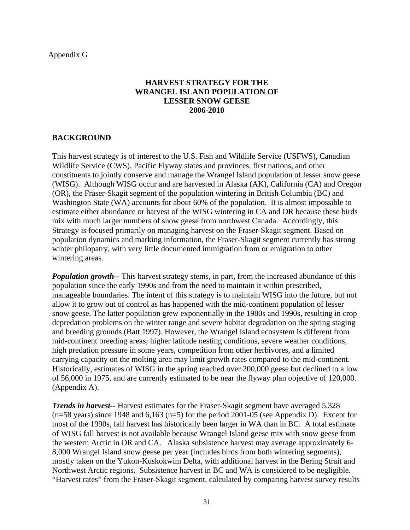Appendix G

## **HARVEST STRATEGY FOR THE WRANGEL ISLAND POPULATION OF LESSER SNOW GEESE 2006-2010**

## **BACKGROUND**

This harvest strategy is of interest to the U.S. Fish and Wildlife Service (USFWS), Canadian Wildlife Service (CWS), Pacific Flyway states and provinces, first nations, and other constituents to jointly conserve and manage the Wrangel Island population of lesser snow geese (WISG). Although WISG occur and are harvested in Alaska (AK), California (CA) and Oregon (OR), the Fraser-Skagit segment of the population wintering in British Columbia (BC) and Washington State (WA) accounts for about 60% of the population. It is almost impossible to estimate either abundance or harvest of the WISG wintering in CA and OR because these birds mix with much larger numbers of snow geese from northwest Canada. Accordingly, this Strategy is focused primarily on managing harvest on the Fraser-Skagit segment. Based on population dynamics and marking information, the Fraser-Skagit segment currently has strong winter philopatry, with very little documented immigration from or emigration to other wintering areas.

*Population growth*—- This harvest strategy stems, in part, from the increased abundance of this population since the early 1990s and from the need to maintain it within prescribed, manageable boundaries. The intent of this strategy is to maintain WISG into the future, but not allow it to grow out of control as has happened with the mid-continent population of lesser snow geese. The latter population grew exponentially in the 1980s and 1990s, resulting in crop depredation problems on the winter range and severe habitat degradation on the spring staging and breeding grounds (Batt 1997). However, the Wrangel Island ecosystem is different from mid-continent breeding areas; higher latitude nesting conditions, severe weather conditions, high predation pressure in some years, competition from other herbivores, and a limited carrying capacity on the molting area may limit growth rates compared to the mid-continent. Historically, estimates of WISG in the spring reached over 200,000 geese but declined to a low of 56,000 in 1975, and are currently estimated to be near the flyway plan objective of 120,000. (Appendix A).

*Trends in harvest--* Harvest estimates for the Fraser-Skagit segment have averaged 5,328  $(n=58 \text{ years})$  since 1948 and 6,163  $(n=5)$  for the period 2001-05 (see Appendix D). Except for most of the 1990s, fall harvest has historically been larger in WA than in BC. A total estimate of WISG fall harvest is not available because Wrangel Island geese mix with snow geese from the western Arctic in OR and CA. Alaska subsistence harvest may average approximately 6- 8,000 Wrangel Island snow geese per year (includes birds from both wintering segments), mostly taken on the Yukon-Kuskokwim Delta, with additional harvest in the Bering Strait and Northwest Arctic regions. Subsistence harvest in BC and WA is considered to be negligible. "Harvest rates" from the Fraser-Skagit segment, calculated by comparing harvest survey results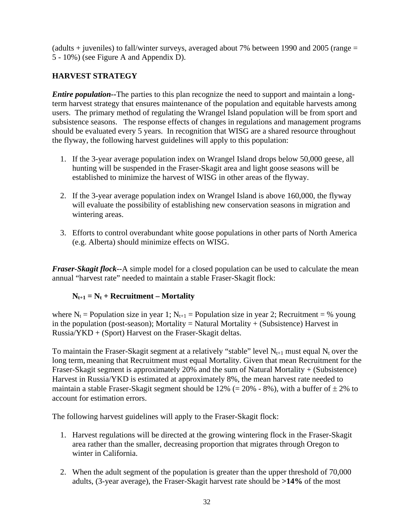(adults  $+$  juveniles) to fall/winter surveys, averaged about 7% between 1990 and 2005 (range  $=$ 5 - 10%) (see Figure A and Appendix D).

# **HARVEST STRATEGY**

*Entire population*—The parties to this plan recognize the need to support and maintain a longterm harvest strategy that ensures maintenance of the population and equitable harvests among users. The primary method of regulating the Wrangel Island population will be from sport and subsistence seasons. The response effects of changes in regulations and management programs should be evaluated every 5 years. In recognition that WISG are a shared resource throughout the flyway, the following harvest guidelines will apply to this population:

- 1. If the 3-year average population index on Wrangel Island drops below 50,000 geese, all hunting will be suspended in the Fraser-Skagit area and light goose seasons will be established to minimize the harvest of WISG in other areas of the flyway.
- 2. If the 3-year average population index on Wrangel Island is above 160,000, the flyway will evaluate the possibility of establishing new conservation seasons in migration and wintering areas.
- 3. Efforts to control overabundant white goose populations in other parts of North America (e.g. Alberta) should minimize effects on WISG.

*Fraser-Skagit flock--*A simple model for a closed population can be used to calculate the mean annual "harvest rate" needed to maintain a stable Fraser-Skagit flock:

# $N_{t+1} = N_t + Recruitment - Mortality$

where  $N_t$  = Population size in year 1;  $N_{t+1}$  = Population size in year 2; Recruitment = % young in the population (post-season); Mortality = Natural Mortality  $+$  (Subsistence) Harvest in Russia/YKD + (Sport) Harvest on the Fraser-Skagit deltas.

To maintain the Fraser-Skagit segment at a relatively "stable" level  $N_{t+1}$  must equal  $N_t$  over the long term, meaning that Recruitment must equal Mortality. Given that mean Recruitment for the Fraser-Skagit segment is approximately 20% and the sum of Natural Mortality + (Subsistence) Harvest in Russia/YKD is estimated at approximately 8%, the mean harvest rate needed to maintain a stable Fraser-Skagit segment should be 12% (=  $20\%$  - 8%), with a buffer of  $\pm 2\%$  to account for estimation errors.

The following harvest guidelines will apply to the Fraser-Skagit flock:

- 1. Harvest regulations will be directed at the growing wintering flock in the Fraser-Skagit area rather than the smaller, decreasing proportion that migrates through Oregon to winter in California.
- 2. When the adult segment of the population is greater than the upper threshold of 70,000 adults, (3-year average), the Fraser-Skagit harvest rate should be **>14%** of the most